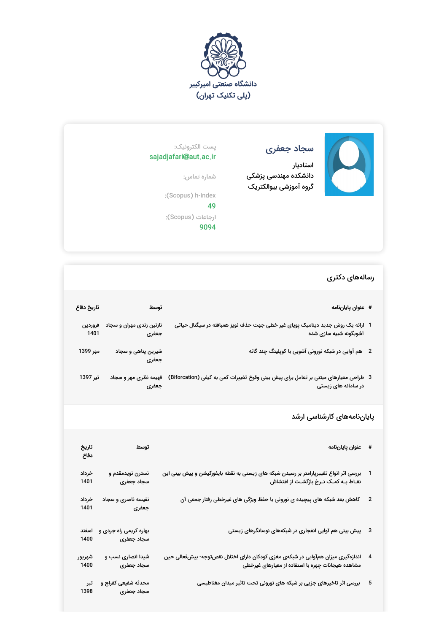



## سجاد جعفری

استادیار دانشکده مهندسی پزشکی گروه آموزشی بیوالکتریک

## پست الکترونیک: sajadjafari@aut.ac.ir

شماره تماس:

:(Scopus) h-index 49

ارجاعات (Scopus(: 9094

## رسالههای دکتری

|                          | # عنوان پاياننامه                                                                                                                     | توسط                                 | تاريخ دفاع      |
|--------------------------|---------------------------------------------------------------------------------------------------------------------------------------|--------------------------------------|-----------------|
|                          | 1٪ ارائه یک روش جدید دینامیک پویای غیر خطی جهت حذف نویز همبافته در سیگنال حیاتی<br>آشوبگونه شبیه سازی شده                             | نازنین زندی مهران و سجاد<br>جعفرى    | فروردين<br>1401 |
| $\overline{\phantom{a}}$ | هم آوایی در شبکه نورونی آشوبی با کوپلینگ چند گانه                                                                                     | شیرین پناهی و سجاد<br>جعفرى          | مهر 1399        |
|                          | 3 طراحی معیارهای مبتنی بر تعامل برای پیش بینی وقوع تغییرات کمی به کیفی (Biforcation)<br>در سامانه های زیستی                           | فهیمه نظری مهر و سجاد<br>جعفرى       | تير 1397        |
|                          | پایاننامههای کارشناسی ارشد                                                                                                            |                                      |                 |
| #                        | عنوان پاياننامه                                                                                                                       | توسط                                 | تاريخ<br>دفاع   |
| $\mathbf{1}$             | بررسی اثر انواع تغییرپارامتر بر رسیدن شبکه های زیستی به نقطه بایفورکیشن و پیش بینی این<br>نقـاط بـه کمـک نـرخ بازگشـت از اغتشاش       | نسترن نویدمقدم و<br>سجاد جعفرى       | خرداد<br>1401   |
| 2                        | کاهش بعد شبکه های پیچیده ی نورونی با حفظ ویژگی های غیرخطی رفتار جمعی آن                                                               | نفیسه ناصری و سجاد<br>جعفرى          | خرداد<br>1401   |
| 3                        | پیش بینی هم آوایی انفجاری در شبکههای نوسانگرهای زیستی                                                                                 | بهاره کریمی راه جردی و<br>سجاد جعفرى | اسفند<br>1400   |
| 4                        | اندازهگیری میزان همآوایی در شبکهی مغزی کودکان دارای اختلال نقصتوجه- بیشفعالی حین<br>مشاهده هیجانات چهره با استفاده از معیارهای غیرخطی | شیدا انصاری نسب و<br>سجاد جعفرى      | شهريور<br>1400  |
| 5                        | بررسی اثر تاخیرهای جزیی بر شبکه های نورونی تحت تاثیر میدان مغناطیسی                                                                   | محدثه شفیعی کفراج و                  | تير             |

سجاد جعفری

1398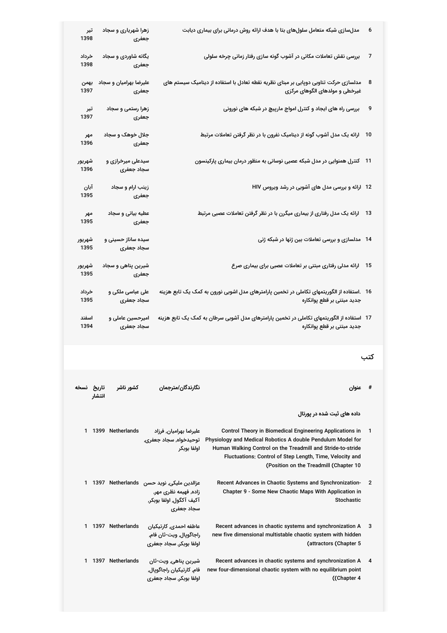| تیر<br>1398    | زهرا شهریاری و سجاد<br>جعفرى     |                                                                                                                 | مدلسازی شبکه متعامل سلولهای بتا با هدف ارائه روش درمانی برای بیماری دیابت                                                                                                                                                                                                                    | 6   |
|----------------|----------------------------------|-----------------------------------------------------------------------------------------------------------------|----------------------------------------------------------------------------------------------------------------------------------------------------------------------------------------------------------------------------------------------------------------------------------------------|-----|
| خرداد<br>1398  | یگانه شاوردی و سجاد<br>جعفرى     |                                                                                                                 | بررسی نقش تعاملات مکانی در آشوب گونه سازی رفتار زمانی چرخه سلولی                                                                                                                                                                                                                             | 7   |
| بهمن<br>1397   | علیرضا بهرامیان و سجاد<br>جعفرى  |                                                                                                                 | مدلسازی حرکت تناوبی دوپایی بر مبنای نظریه نقطه تعادل با استفاده از دینامیک سیستم های<br>غیرخطی و مولدهای الگوهای مرکزی                                                                                                                                                                       | 8   |
| تیر<br>1397    | زهرا رستمی و سجاد<br>جعفرى       |                                                                                                                 | بررسی راه های ایجاد و کنترل امواج مارپیچ در شبکه های نورونی                                                                                                                                                                                                                                  | 9   |
| مهر<br>1396    | جلال خوهک و سجاد<br>جعفرى        |                                                                                                                 | 10 ٪ ارائه یک مدل آشوب گونه از دینامیک نفرون با در نظر گرفتن تعاملات مرتبط                                                                                                                                                                                                                   |     |
| شهريور<br>1396 | سیدعلی میرخرازی و<br>سجاد جعفرى  |                                                                                                                 | 11    کنترل همنوایی در مدل شبکه عصبی نوسانی به منظور درمان بیماری پارکینسون                                                                                                                                                                                                                  |     |
| آبان<br>1395   | زینب ارام و سجاد<br>جعفرى        |                                                                                                                 | 12 ارائه و بررسی مدل های آشوبی در رشد ویروس HIV                                                                                                                                                                                                                                              |     |
| مهر<br>1395    | عطیه بیانی و سجاد<br>جعفرى       |                                                                                                                 | ارائه یک مدل رفتاری از بیماری میگرن با در نظر گرفتن تعاملات عصبی مرتبط                                                                                                                                                                                                                       | 13  |
| شهريور<br>1395 | سیده ساناز حسینی و<br>سجاد جعفرى |                                                                                                                 | 14 ً مدلسازی و بررسی تعاملات بین ژنها در شبکه ژنی                                                                                                                                                                                                                                            |     |
| شهريور<br>1395 | شیرین پناهی و سجاد<br>جعفرى      |                                                                                                                 | ارائه مدلی رفتاری مبتنی بر تعاملات عصبی برای بیماری صرع                                                                                                                                                                                                                                      | 15  |
| خرداد<br>1395  | علی عباسی ملکی و<br>سجاد جعفرى   |                                                                                                                 | 16 ٪.استفاده از الگوریتمهای تکاملی در تخمین پارامترهای مدل اشوبی نورون به کمک یک تابع هزینه<br>جدید مبتنی بر قطع پوانکاره                                                                                                                                                                    |     |
| اسفند<br>1394  | امیرحسین عاملی و<br>سجاد جعفرى   |                                                                                                                 | 17   استفاده از الگوریتمهای تکاملی در تخمین پارامترهای مدل آشوبی سرطان به کمک یک تابع هزینه<br>جدید مبتنی بر قطع پوانکاره                                                                                                                                                                    |     |
|                |                                  |                                                                                                                 |                                                                                                                                                                                                                                                                                              | کتب |
| تاريخ نسخه     | کشور ناشر<br>انتشار              | نگارندگان/مترجمان                                                                                               | عنوان                                                                                                                                                                                                                                                                                        | #   |
|                |                                  |                                                                                                                 | داده های ثبت شده در پورتال                                                                                                                                                                                                                                                                   |     |
| 1              | 1399 Netherlands                 | عليرضا بهراميان, فرزاد<br>توحيدخواه, سجاد جعفري,<br>اولفا بوبكر                                                 | Control Theory in Biomedical Engineering Applications in<br>Physiology and Medical Robotics A double Pendulum Model for<br>Human Walking Control on the Treadmill and Stride-to-stride<br>Fluctuations: Control of Step Length, Time, Velocity and<br>(Position on the Treadmill (Chapter 10 | 1   |
| 1              |                                  | عزالدين مليكي, نويد حسن   Netherlands   1397<br>زاده, فهیمه نظری مهر,<br>آكيف آكگول, اولفا بوبكر,<br>سجاد جعفري | Recent Advances in Chaotic Systems and Synchronization-<br>Chapter 9 - Some New Chaotic Maps With Application in<br>Stochastic                                                                                                                                                               | 2   |
| 1              | 1397 Netherlands                 | عاطفه احمدی, کارتیکیان<br>راجاگويال, ويت-ثان فام,<br>اولفا بوبكر, سجاد جعفري                                    | Recent advances in chaotic systems and synchronization A<br>new five dimensional multistable chaotic system with hidden<br>(attractors (Chapter 5)                                                                                                                                           | 3   |
| 1              | 1397 Netherlands                 | شيرين پناهي, ويت-ثان<br>فام, كارتيكيان راجاگوپال,<br>اولفا بوبكر, سجاد جعفرى                                    | Recent advances in chaotic systems and synchronization A<br>new four-dimensional chaotic system with no equilibrium point<br>(Chapter 4)                                                                                                                                                     | 4   |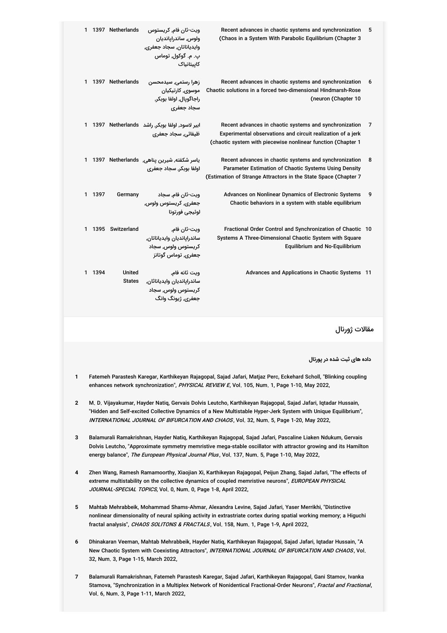| 1 |      | 1397 Netherlands        | ویت-ثان فام, کریستوس<br>ولوس, ساندرایاندیان<br>وايدياناتان, سجاد جعفري,<br>پ. م. گوکول, توماس<br>کابیتانیاک | Recent advances in chaotic systems and synchronization<br>(Chaos in a System With Parabolic Equilibrium (Chapter 3                                                                    | 5 |
|---|------|-------------------------|-------------------------------------------------------------------------------------------------------------|---------------------------------------------------------------------------------------------------------------------------------------------------------------------------------------|---|
| 1 |      | 1397 Netherlands        | زهرا رستمی٬ سیدمحسن<br>موسوی, کارتیکیان<br>راجاگويال, اولفا بوبکر,<br>سجاد جعفري                            | Recent advances in chaotic systems and synchronization<br>Chaotic solutions in a forced two-dimensional Hindmarsh-Rose<br>(neuron (Chapter 10                                         | 6 |
| 1 | 1397 |                         | ابیر لاسود, اولفا بوبکر, راشد Netherlands<br>ظیفائے، سجاد جعفری                                             | Recent advances in chaotic systems and synchronization<br>Experimental observations and circuit realization of a jerk<br>(chaotic system with piecewise nonlinear function (Chapter 1 | 7 |
| 1 | 1397 |                         | یاسر شکفته, شیرین پناهی, Netherlands<br>اولفا بوبكر, سجاد جعفرى                                             | Recent advances in chaotic systems and synchronization<br>Parameter Estimation of Chaotic Systems Using Density<br>(Estimation of Strange Attractors in the State Space (Chapter 7    | 8 |
| 1 | 1397 | Germany                 | ويت-ثان فام, سجاد<br>جعفري, كريستوس ولوس,<br>لوئيجى فورتونا                                                 | Advances on Nonlinear Dynamics of Electronic Systems<br>Chaotic behaviors in a system with stable equilibrium                                                                         | 9 |
| 1 | 1395 | Switzerland             | ويت-ثان فام,<br>ساندرايانديان وايدياناتان,<br>کریستوس ولوس, سجاد<br>جعفري, توماس گوتانز                     | Fractional Order Control and Synchronization of Chaotic 10<br>Systems A Three-Dimensional Chaotic System with Square<br>Equilibrium and No-Equilibrium                                |   |
| 1 | 1394 | United<br><b>States</b> | ويت ثانه فام,<br>ساندرايانديان وايدياناثان,<br>کریستوس ولوس, سجاد<br>جعفری, ژیونگ وانگ                      | Advances and Applications in Chaotic Systems 11                                                                                                                                       |   |

مقالات ژورنال

**داده های ثبت شده در پورتال**

- **1** Fatemeh Parastesh Karegar, Karthikeyan Rajagopal, Sajad Jafari, Matjaz Perc, Eckehard Scholl, "Blinking coupling enhances network synchronization", PHYSICAL REVIEW E, Vol. 105, Num. 1, Page 1-10, May 2022,
- **2** M. D. Vijayakumar, Hayder Natiq, Gervais Dolvis Leutcho, Karthikeyan Rajagopal, Sajad Jafari, Iqtadar Hussain, "Hidden and Self-excited Collective Dynamics of a New Multistable Hyper-Jerk System with Unique Equilibrium", INTERNATIONAL JOURNAL OF BIFURCATION AND CHAOS, Vol. 32, Num. 5, Page 1-20, May 2022,
- **3** Balamurali Ramakrishnan, Hayder Natiq, Karthikeyan Rajagopal, Sajad Jafari, Pascaline Liaken Ndukum, Gervais Dolvis Leutcho, "Approximate symmetry memristive mega-stable oscillator with attractor growing and its Hamilton energy balance", The European Physical Journal Plus, Vol. 137, Num. 5, Page 1-10, May 2022,
- **4** Zhen Wang, Ramesh Ramamoorthy, Xiaojian Xi, Karthikeyan Rajagopal, Peijun Zhang, Sajad Jafari, "The effects of extreme multistability on the collective dynamics of coupled memristive neurons", *EUROPEAN PHYSICAL JOURNAL-SPECIAL TOPICS*, Vol. 0, Num. 0, Page 1-8, April 2022,
- **5** Mahtab Mehrabbeik, Mohammad Shams-Ahmar, Alexandra Levine, Sajad Jafari, Yaser Merrikhi, "Distinctive nonlinear dimensionality of neural spiking activity in extrastriate cortex during spatial working memory; a Higuchi fractal analysis", CHAOS SOLITONS & FRACTALS, Vol. 158, Num. 1, Page 1-9, April 2022,
- **6** Dhinakaran Veeman, Mahtab Mehrabbeik, Hayder Natiq, Karthikeyan Rajagopal, Sajad Jafari, Iqtadar Hussain, "A New Chaotic System with Coexisting Attractors", *INTERNATIONAL JOURNAL OF BIFURCATION AND CHAOS*, Vol. 32, Num. 3, Page 1-15, March 2022,
- **7** Balamurali Ramakrishnan, Fatemeh Parastesh Karegar, Sajad Jafari, Karthikeyan Rajagopal, Gani Stamov, Ivanka Stamova, "Synchronization in a Multiplex Network of Nonidentical Fractional-Order Neurons", *Fractal and Fractional*, Vol. 6, Num. 3, Page 1-11, March 2022,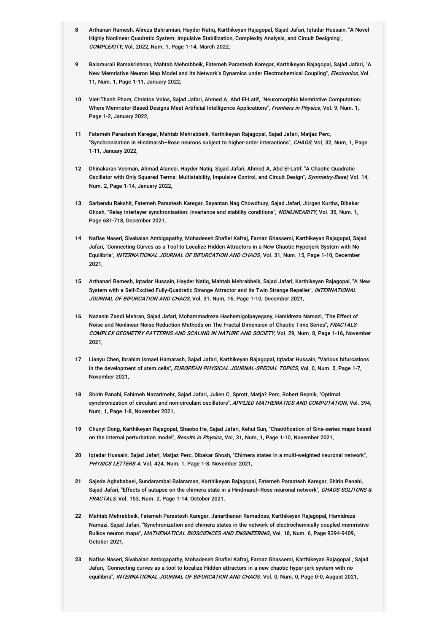- **8** Arthanari Ramesh, Alireza Bahramian, Hayder Natiq, Karthikeyan Rajagopal, Sajad Jafari, Iqtadar Hussain, "A Novel Highly Nonlinear Quadratic System: Impulsive Stabilization, Complexity Analysis, and Circuit Designing", COMPLEXITY, Vol. 2022, Num. 1, Page 1-14, March 2022,
- **9** Balamurali Ramakrishnan, Mahtab Mehrabbeik, Fatemeh Parastesh Karegar, Karthikeyan Rajagopal, Sajad Jafari, "A New Memristive Neuron Map Model and Its Network's Dynamics under Electrochemical Coupling", *Electronics*, Vol. 11, Num. 1, Page 1-11, January 2022,
- **10** Viet-Thanh Pham, Christos Volos, Sajad Jafari, Ahmed A. Abd El-Latif, "Neuromorphic Memristive Computation: Where Memristor-Based Designs Meet Artificial Intelligence Applications", *Frontiers in Physics*, Vol. 9, Num. 1, Page 1-2, January 2022,
- **11** Fatemeh Parastesh Karegar, Mahtab Mehrabbeik, Karthikeyan Rajagopal, Sajad Jafari, Matjaz Perc, "Synchronization in Hindmarsh–Rose neurons subject to higher-order interactions", *CHAOS*, Vol. 32, Num. 1, Page 1-11, January 2022,
- **12** Dhinakaran Veeman, Ahmad Alanezi, Hayder Natiq, Sajad Jafari, Ahmed A. Abd El-Latif, "A Chaotic Quadratic Oscillator with Only Squared Terms: Multistability, Impulsive Control, and Circuit Design", *Symmetry-Basel*, Vol. 14, Num. 2, Page 1-14, January 2022,
- **13** Sarbendu Rakshit, Fatemeh Parastesh Karegar, Sayantan Nag Chowdhury, Sajad Jafari, Jürgen Kurths, Dibakar Ghosh, "Relay interlayer synchronisation: invariance and stability conditions", *NONLINEARITY*, Vol. 35, Num. 1, Page 681-718, December 2021,
- **14** Nafise Naseri, Sivabalan Ambigapathy, Mohadeseh Shafiei Kafraj, Farnaz Ghassemi, Karthikeyan Rajagopal, Sajad Jafari, "Connecting Curves as a Tool to Localize Hidden Attractors in a New Chaotic Hyperjerk System with No Equilibria", *INTERNATIONAL JOURNAL OF BIFURCATION AND CHAOS*, Vol. 31, Num. 15, Page 1-10, December 2021,
- **15** Arthanari Ramesh, Iqtadar Hussain, Hayder Natiq, Mahtab Mehrabbeik, Sajad Jafari, Karthikeyan Rajagopal, "A New System with a Self-Excited Fully-Quadratic Strange Attractor and Its Twin Strange Repeller", *INTERNATIONAL* JOURNAL OF BIFURCATION AND CHAOS, Vol. 31, Num. 16, Page 1-10, December 2021,
- **16** Nazanin Zandi Mehran, Sajad Jafari, Mohammadreza Hashemigolpayegany, Hamidreza Namazi, "The Effect of Noise and Nonlinear Noise Reduction Methods on The Fractal Dimension of Chaotic Time Series", *FRACTALS-*COMPL*EX GEOMETRY PATTERNS AND SCALING IN NATURE AND SOCIETY*, Vol. 29, Num. 8, Page 1-16, November 2021,
- **17** Lianyu Chen, Ibrahim Ismael Hamarash, Sajad Jafari, Karthikeyan Rajagopal, Iqtadar Hussain, "Various bifurcations in the development of stem cells", *EUROPEAN PHYSICAL JOURNAL-SPECIAL TOPICS*, Vol. 0, Num. 0, Page 1-7, November 2021,
- **18** Shirin Panahi, Fahimeh Nazarimehr, Sajad Jafari, Julien C. Sprott, Matja? Perc, Robert Repnik, "Optimal synchronization of circulant and non-circulant oscillators", *APPLIED MATHEMATICS AND COMPUTATION*, Vol. 394, Num. 1, Page 1-8, November 2021,
- **19** Chunyi Dong, Karthikeyan Rajagopal, Shaobo He, Sajad Jafari, Kehui Sun, "Chaotification of Sine-series maps based on the internal perturbation model", Results in Physics, Vol. 31, Num. 1, Page 1-10, November 2021,
- **20** Iqtadar Hussain, Sajad Jafari, Matjaz Perc, Dibakar Ghosh, "Chimera states in a multi-weighted neuronal network", PHYSICS LETTERS <sup>A</sup>, Vol. 424, Num. 1, Page 1-8, November 2021,
- **21** Sajede Aghababaei, Sundarambal Balaraman, Karthikeyan Rajagopal, Fatemeh Parastesh Karegar, Shirin Panahi, Sajad Jafari, "Effects of autapse on the chimera state in a Hindmarsh-Rose neuronal network", *CHAOS SOLITONS & FRACTALS*, Vol. 153, Num. 2, Page 1-14, October 2021,
- **22** Mahtab Mehrabbeik, Fatemeh Parastesh Karegar, Janarthanan Ramadoss, Karthikeyan Rajagopal, Hamidreza Namazi, Sajad Jafari, "Synchronization and chimera states in the network of electrochemically coupled memristive Rulkov neuron maps", *MATHEMATICAL BIOSCIENCES AND ENGINEERING*, Vol. 18, Num. 6, Page 9394-9409, October 2021,
- **23** Nafise Naseri, Sivabalan Ambigapathy, Mohadeseh Shafiei Kafraj, Farnaz Ghassemi, Karthikeyan Rajagopal , Sajad Jafari, "Connecting curves as a tool to localize Hidden attractors in a new chaotic hyper-jerk system with no equilibria", INTERNATIONAL JOURNAL OF BIFURCATION AND CHAOS, Vol. 0, Num. 0, Page 0-0, August 2021,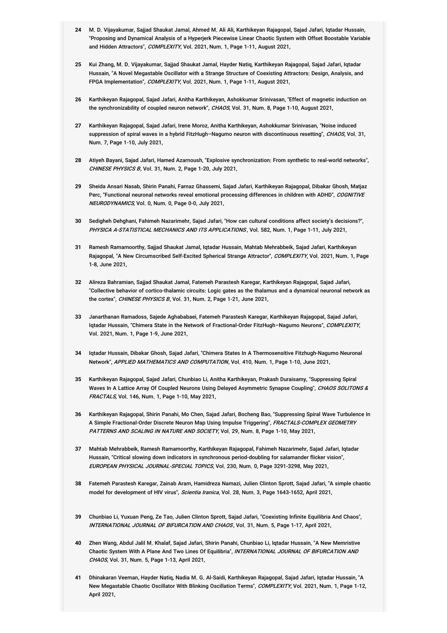- **24** M. D. Vijayakumar, Sajjad Shaukat Jamal, Ahmed M. Ali Ali, Karthikeyan Rajagopal, Sajad Jafari, Iqtadar Hussain, "Proposing and Dynamical Analysis of a Hyperjerk Piecewise Linear Chaotic System with Offset Boostable Variable and Hidden Attractors", COMPLEXITY, Vol. 2021, Num. 1, Page 1-11, August 2021,
- **25** Kui Zhang, M. D. Vijayakumar, Sajjad Shaukat Jamal, Hayder Natiq, Karthikeyan Rajagopal, Sajad Jafari, Iqtadar Hussain, "A Novel Megastable Oscillator with a Strange Structure of Coexisting Attractors: Design, Analysis, and FPGA Implementation", COMPLEXITY, Vol. 2021, Num. 1, Page 1-11, August 2021,
- **26** Karthikeyan Rajagopal, Sajad Jafari, Anitha Karthikeyan, Ashokkumar Srinivasan, "Effect of magnetic induction on the synchronizability of coupled neuron network", CHAOS, Vol. 31, Num. 8, Page 1-10, August 2021,
- **27** Karthikeyan Rajagopal, Sajad Jafari, Irene Moroz, Anitha Karthikeyan, Ashokkumar Srinivasan, "Noise induced suppression of spiral waves in a hybrid FitzHugh–Nagumo neuron with discontinuous resetting", *CHAOS*, Vol. 31, Num. 7, Page 1-10, July 2021,
- **28** Atiyeh Bayani, Sajad Jafari, Hamed Azarnoush, "Explosive synchronization: From synthetic to real-world networks", CHINESE PHYSICS <sup>B</sup>, Vol. 31, Num. 2, Page 1-20, July 2021,
- **29** Sheida Ansari Nasab, Shirin Panahi, Farnaz Ghassemi, Sajad Jafari, Karthikeyan Rajagopal, Dibakar Ghosh, Matjaz Perc, "Functional neuronal networks reveal emotional processing differences in children with ADHD", *COGNITIVE NEURODYNAMICS*, Vol. 0, Num. 0, Page 0-0, July 2021,
- **30** Sedigheh Dehghani, Fahimeh Nazarimehr, Sajad Jafari, "How can cultural conditions affect society's decisions?", PHYSICA A-STATISTICAL MECHANICS AND ITS APPLICATIONS, Vol. 582, Num. 1, Page 1-11, July 2021,
- **31** Ramesh Ramamoorthy, Sajjad Shaukat Jamal, Iqtadar Hussain, Mahtab Mehrabbeik, Sajad Jafari, Karthikeyan Rajagopal, "A New Circumscribed Self-Excited Spherical Strange Attractor", *COMPLEXITY*, Vol. 2021, Num. 1, Page 1-8, June 2021,
- **32** Alireza Bahramian, Sajjad Shaukat Jamal, Fatemeh Parastesh Karegar, Karthikeyan Rajagopal, Sajad Jafari, "Collective behavior of cortico-thalamic circuits: Logic gates as the thalamus and a dynamical neuronal network as the cortex", CHINESE PHYSICS <sup>B</sup>, Vol. 31, Num. 2, Page 1-21, June 2021,
- **33** Janarthanan Ramadoss, Sajede Aghababaei, Fatemeh Parastesh Karegar, Karthikeyan Rajagopal, Sajad Jafari, lqtadar Hussain, "Chimera State in the Network of Fractional-Order FitzHugh–Nagumo Neurons", *COMPLEXITY*, Vol. 2021, Num. 1, Page 1-9, June 2021,
- **34** Iqtadar Hussain, Dibakar Ghosh, Sajad Jafari, "Chimera States In A Thermosensitive Fitzhugh-Nagumo Neuronal Network", APPLIED MATHEMATICS AND COMPUTATION, Vol. 410, Num. 1, Page 1-10, June 2021,
- **35** Karthikeyan Rajagopal, Sajad Jafari, Chunbiao Li, Anitha Karthikeyan, Prakash Duraisamy, "Suppressing Spiral Waves In A Lattice Array Of Coupled Neurons Using Delayed Asymmetric Synapse Coupling", *CHAOS SOLITONS & FRACTALS*, Vol. 146, Num. 1, Page 1-10, May 2021,
- **36** Karthikeyan Rajagopal, Shirin Panahi, Mo Chen, Sajad Jafari, Bocheng Bao, "Suppressing Spiral Wave Turbulence In A Simple Fractional-Order Discrete Neuron Map Using Impulse Triggering", *FRACTALS-COMPLEX GEOMETRY PATTERNS AND SCALING IN NATURE AND SOCIETY*, Vol. 29, Num. 8, Page 1-10, May 2021,
- **37** Mahtab Mehrabbeik, Ramesh Ramamoorthy, Karthikeyan Rajagopal, Fahimeh Nazarimehr, Sajad Jafari, Iqtadar Hussain, "Critical slowing down indicators in synchronous period-doubling for salamander flicker vision", EUROPEAN PHYSICAL JOURNAL-SPECIAL TOPICS, Vol. 230, Num. 0, Page 3291-3298, May 2021,
- **38** Fatemeh Parastesh Karegar, Zainab Aram, Hamidreza Namazi, Julien Clinton Sprott, Sajad Jafari, "A simple chaotic model for development of HIV virus", Scientia Iranica, Vol. 28, Num. 3, Page 1643-1652, April 2021,
- **39** Chunbiao Li, Yuxuan Peng, Ze Tao, Julien Clinton Sprott, Sajad Jafari, "Coexisting Infinite Equilibria And Chaos", INTERNATIONAL JOURNAL OF BIFURCATION AND CHAOS, Vol. 31, Num. 5, Page 1-17, April 2021,
- **40** Zhen Wang, Abdul Jalil M. Khalaf, Sajad Jafari, Shirin Panahi, Chunbiao Li, Iqtadar Hussain, "A New Memristive Chaotic System With A Plane And Two Lines Of Equilibria", *INTERNATIONAL JOURNAL OF BIFURCATION AND CHAOS*, Vol. 31, Num. 5, Page 1-13, April 2021,
- **41** Dhinakaran Veeman, Hayder Natiq, Nadia M. G. Al-Saidi, Karthikeyan Rajagopal, Sajad Jafari, Iqtadar Hussain, "A New Megastable Chaotic Oscillator With Blinking Oscillation Terms", *COMPLEXITY*, Vol. 2021, Num. 1, Page 1-12, April 2021,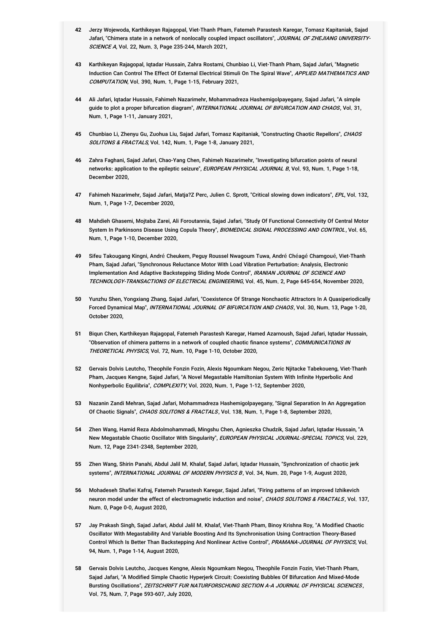- **42** Jerzy Wojewoda, Karthikeyan Rajagopal, Viet-Thanh Pham, Fatemeh Parastesh Karegar, Tomasz Kapitaniak, Sajad Jafari, "Chimera state in a network of nonlocally coupled impact oscillators", *JOURNAL OF ZHEJIANG UNIVERSITY-SCIENCE A*, Vol. 22, Num. 3, Page 235-244, March 2021,
- **43** Karthikeyan Rajagopal, Iqtadar Hussain, Zahra Rostami, Chunbiao Li, Viet-Thanh Pham, Sajad Jafari, "Magnetic Induction Can Control The Effect Of External Electrical Stimuli On The Spiral Wave", *APPLIED MATHEMATICS AND COMPUTATION*, Vol. 390, Num. 1, Page 1-15, February 2021,
- **44** Ali Jafari, Iqtadar Hussain, Fahimeh Nazarimehr, Mohammadreza Hashemigolpayegany, Sajad Jafari, "A simple guide to plot a proper bifurcation diagram", *INTERNATIONAL JOURNAL OF BIFURCATION AND CHAOS*, Vol. 31, Num. 1, Page 1-11, January 2021,
- **45** Chunbiao Li, Zhenyu Gu, Zuohua Liu, Sajad Jafari, Tomasz Kapitaniak, "Constructing Chaotic Repellors", CHAOS SOLITONS & FRACTALS, Vol. 142, Num. 1, Page 1-8, January 2021,
- **46** Zahra Faghani, Sajad Jafari, Chao-Yang Chen, Fahimeh Nazarimehr, "Investigating bifurcation points of neural networks: application to the epileptic seizure", *EUROPEAN PHYSICAL JOURNAL B*, Vol. 93, Num. 1, Page 1-18, December 2020,
- 47 Fahimeh Nazarimehr, Sajad Jafari, Matja?Z Perc, Julien C. Sprott, "Critical slowing down indicators", *EPL*, Vol. 132, Num. 1, Page 1-7, December 2020,
- **48** Mahdieh Ghasemi, Mojtaba Zarei, Ali Foroutannia, Sajad Jafari, "Study Of Functional Connectivity Of Central Motor System In Parkinsons Disease Using Copula Theory", *BIOMEDICAL SIGNAL PROCESSING AND CONTROL* , Vol. 65, Num. 1, Page 1-10, December 2020,
- **49** Sifeu Takougang Kingni, André Cheukem, Peguy Roussel Nwagoum Tuwa, André Chéagé Chamgoué, Viet-Thanh Pham, Sajad Jafari, "Synchronous Reluctance Motor With Load Vibration Perturbation: Analysis, Electronic Implementation And Adaptive Backstepping Sliding Mode Control", *IRANIAN JOURNAL OF SCIENCE AND* TECHNOLOGY-TRANSACTIONS OF ELECTRICAL ENGINEERING, Vol. 45, Num. 2, Page 645-654, November 2020,
- **50** Yunzhu Shen, Yongxiang Zhang, Sajad Jafari, "Coexistence Of Strange Nonchaotic Attractors In A Quasiperiodically Forced Dynamical Map", *INTERNATIONAL JOURNAL OF BIFURCATION AND CHAOS*, Vol. 30, Num. 13, Page 1-20, October 2020,
- **51** Biqun Chen, Karthikeyan Rajagopal, Fatemeh Parastesh Karegar, Hamed Azarnoush, Sajad Jafari, Iqtadar Hussain, "Observation of chimera patterns in a network of coupled chaotic finance systems", *COMMUNICATIONS IN* THEORETICAL PHYSICS, Vol. 72, Num. 10, Page 1-10, October 2020,
- **52** Gervais Dolvis Leutcho, Theophile Fonzin Fozin, Alexis Ngoumkam Negou, Zeric Njitacke Tabekoueng, Viet-Thanh Pham, Jacques Kengne, Sajad Jafari, "A Novel Megastable Hamiltonian System With Infinite Hyperbolic And Nonhyperbolic Equilibria", COMPLEXITY, Vol. 2020, Num. 1, Page 1-12, September 2020,
- **53** Nazanin Zandi Mehran, Sajad Jafari, Mohammadreza Hashemigolpayegany, "Signal Separation In An Aggregation Of Chaotic Signals", CHAOS SOLITONS & FRACTALS, Vol. 138, Num. 1, Page 1-8, September 2020,
- **54** Zhen Wang, Hamid Reza Abdolmohammadi, Mingshu Chen, Agnieszka Chudzik, Sajad Jafari, Iqtadar Hussain, "A New Megastable Chaotic Oscillator With Singularity", *EUROPEAN PHYSICAL JOURNAL-SPECIAL TOPICS*, Vol. 229, Num. 12, Page 2341-2348, September 2020,
- **55** Zhen Wang, Shirin Panahi, Abdul Jalil M. Khalaf, Sajad Jafari, Iqtadar Hussain, "Synchronization of chaotic jerk systems", INTERNATIONAL JOURNAL OF MODERN PHYSICS B, Vol. 34, Num. 20, Page 1-9, August 2020,
- **56** Mohadeseh Shafiei Kafraj, Fatemeh Parastesh Karegar, Sajad Jafari, "Firing patterns of an improved Izhikevich neuron model under the effect of electromagnetic induction and noise", *CHAOS SOLITONS & FRACTALS*, Vol. 137, Num. 0, Page 0-0, August 2020,
- **57** Jay Prakash Singh, Sajad Jafari, Abdul Jalil M. Khalaf, Viet-Thanh Pham, Binoy Krishna Roy, "A Modified Chaotic Oscillator With Megastability And Variable Boosting And Its Synchronisation Using Contraction Theory-Based Control Which Is Better Than Backstepping And Nonlinear Active Control", *PRAMANA-JOURNAL OF PHYSICS*, Vol. 94, Num. 1, Page 1-14, August 2020,
- **58** Gervais Dolvis Leutcho, Jacques Kengne, Alexis Ngoumkam Negou, Theophile Fonzin Fozin, Viet-Thanh Pham, Sajad Jafari, "A Modified Simple Chaotic Hyperjerk Circuit: Coexisting Bubbles Of Bifurcation And Mixed-Mode Bursting Oscillations", *ZEITSCHRIFT FUR NATURFORSCHUNG SECTION A-A JOURNAL OF PHYSICAL SCIENCES* , Vol. 75, Num. 7, Page 593-607, July 2020,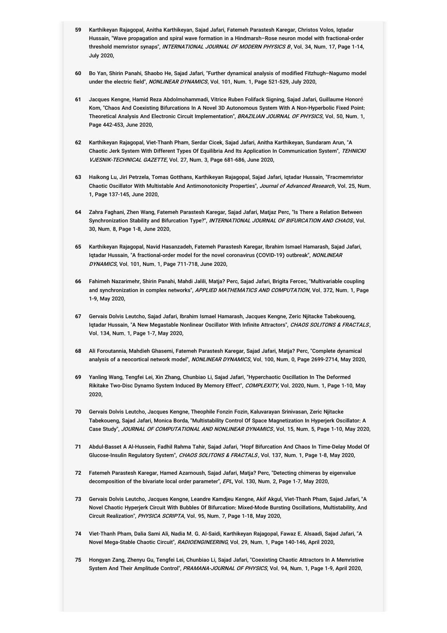- **59** Karthikeyan Rajagopal, Anitha Karthikeyan, Sajad Jafari, Fatemeh Parastesh Karegar, Christos Volos, Iqtadar Hussain, "Wave propagation and spiral wave formation in a Hindmarsh–Rose neuron model with fractional-order threshold memristor synaps", *INTERNATIONAL JOURNAL OF MODERN PHYSICS B* , Vol. 34, Num. 17, Page 1-14, July 2020,
- **60** Bo Yan, Shirin Panahi, Shaobo He, Sajad Jafari, "Further dynamical analysis of modified Fitzhugh–Nagumo model under the electric field", NONLINEAR DYNAMICS, Vol. 101, Num. 1, Page 521-529, July 2020,
- **61** Jacques Kengne, Hamid Reza Abdolmohammadi, Vitrice Ruben Folifack Signing, Sajad Jafari, Guillaume Honoré Kom, "Chaos And Coexisting Bifurcations In A Novel 3D Autonomous System With A Non-Hyperbolic Fixed Point: Theoretical Analysis And Electronic Circuit Implementation", *BRAZILIAN JOURNAL OF PHYSICS*, Vol. 50, Num. 1, Page 442-453, June 2020,
- **62** Karthikeyan Rajagopal, Viet-Thanh Pham, Serdar Cicek, Sajad Jafari, Anitha Karthikeyan, Sundaram Arun, "A Chaotic Jerk System With Different Types Of Equilibria And Its Application In Communication System", *TEHNICKI* VJESNIK-TECHNICAL GAZETTE, Vol. 27, Num. 3, Page 681-686, June 2020,
- **63** Haikong Lu, Jiri Petrzela, Tomas Gotthans, Karthikeyan Rajagopal, Sajad Jafari, Iqtadar Hussain, "Fracmemristor Chaotic Oscillator With Multistable And Antimonotonicity Properties", *Journal of Advanced Research*, Vol. 25, Num. 1, Page 137-145, June 2020,
- **64** Zahra Faghani, Zhen Wang, Fatemeh Parastesh Karegar, Sajad Jafari, Matjaz Perc, "Is There a Relation Between Synchronization Stability and Bifurcation Type?", *INTERNATIONAL JOURNAL OF BIFURCATION AND CHAOS*, Vol. 30, Num. 8, Page 1-8, June 2020,
- **65** Karthikeyan Rajagopal, Navid Hasanzadeh, Fatemeh Parastesh Karegar, Ibrahim Ismael Hamarash, Sajad Jafari, lqtadar Hussain, "A fractional-order model for the novel coronavirus (COVID-19) outbreak", *NONLINEAR DYNAMICS*, Vol. 101, Num. 1, Page 711-718, June 2020,
- **66** Fahimeh Nazarimehr, Shirin Panahi, Mahdi Jalili, Matja? Perc, Sajad Jafari, Brigita Fercec, "Multivariable coupling and synchronization in complex networks", *APPLIED MATHEMATICS AND COMPUTATION*, Vol. 372, Num. 1, Page 1-9, May 2020,
- **67** Gervais Dolvis Leutcho, Sajad Jafari, Ibrahim Ismael Hamarash, Jacques Kengne, Zeric Njitacke Tabekoueng, Iqtadar Hussain, "A New Megastable Nonlinear Oscillator With Infinite Attractors", *CHAOS SOLITONS & FRACTALS*, Vol. 134, Num. 1, Page 1-7, May 2020,
- **68** Ali Foroutannia, Mahdieh Ghasemi, Fatemeh Parastesh Karegar, Sajad Jafari, Matja? Perc, "Complete dynamical analysis of a neocortical network model", NONLINEAR DYNAMICS, Vol. 100, Num. 0, Page 2699-2714, May 2020,
- **69** Yanling Wang, Tengfei Lei, Xin Zhang, Chunbiao Li, Sajad Jafari, "Hyperchaotic Oscillation In The Deformed Rikitake Two-Disc Dynamo System Induced By Memory Effect", *COMPLEXITY*, Vol. 2020, Num. 1, Page 1-10, May 2020,
- **70** Gervais Dolvis Leutcho, Jacques Kengne, Theophile Fonzin Fozin, Kaluvarayan Srinivasan, Zeric Njitacke Tabekoueng, Sajad Jafari, Monica Borda, "Multistability Control Of Space Magnetization In Hyperjerk Oscillator: A Case Study", JOURNAL OF COMPUTATIONAL AND NONLINEAR DYNAMICS, Vol. 15, Num. 5, Page 1-10, May 2020,
- **71** Abdul-Basset A Al-Hussein, Fadhil Rahma Tahir, Sajad Jafari, "Hopf Bifurcation And Chaos In Time-Delay Model Of Glucose-Insulin Regulatory System", CHAOS SOLITONS & FRACTALS, Vol. 137, Num. 1, Page 1-8, May 2020,
- **72** Fatemeh Parastesh Karegar, Hamed Azarnoush, Sajad Jafari, Matja? Perc, "Detecting chimeras by eigenvalue decomposition of the bivariate local order parameter", EPL, Vol. 130, Num. 2, Page 1-7, May 2020,
- **73** Gervais Dolvis Leutcho, Jacques Kengne, Leandre Kamdjeu Kengne, Akif Akgul, Viet-Thanh Pham, Sajad Jafari, "A Novel Chaotic Hyperjerk Circuit With Bubbles Of Bifurcation: Mixed-Mode Bursting Oscillations, Multistability, And Circuit Realization", PHYSICA SCRIPTA, Vol. 95, Num. 7, Page 1-18, May 2020,
- **74** Viet-Thanh Pham, Dalia Sami Ali, Nadia M. G. Al-Saidi, Karthikeyan Rajagopal, Fawaz E. Alsaadi, Sajad Jafari, "A Novel Mega-Stable Chaotic Circuit", RADIOENGINEERING, Vol. 29, Num. 1, Page 140-146, April 2020,
- **75** Hongyan Zang, Zhenyu Gu, Tengfei Lei, Chunbiao Li, Sajad Jafari, "Coexisting Chaotic Attractors In A Memristive System And Their Amplitude Control", PRAMANA-JOURNAL OF PHYSICS, Vol. 94, Num. 1, Page 1-9, April 2020,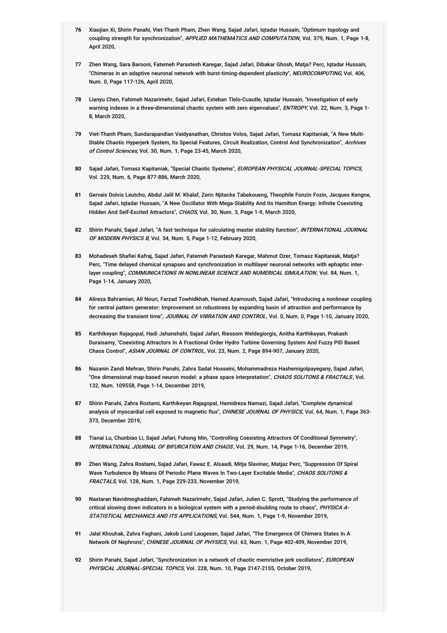- **76** Xiaojian Xi, Shirin Panahi, Viet-Thanh Pham, Zhen Wang, Sajad Jafari, Iqtadar Hussain, "Optimum topology and coupling strength for synchronization", *APPLIED MATHEMATICS AND COMPUTATION*, Vol. 379, Num. 1, Page 1-8, April 2020,
- **77** Zhen Wang, Sara Barooni, Fatemeh Parastesh Karegar, Sajad Jafari, Dibakar Ghosh, Matja? Perc, Iqtadar Hussain, "Chimeras in an adaptive neuronal network with burst-timing-dependent plasticity", *NEUROCOMPUTING*, Vol. 406, Num. 0, Page 117-126, April 2020,
- **78** Lianyu Chen, Fahimeh Nazarimehr, Sajad Jafari, Esteban Tlelo-Cuautle, Iqtadar Hussain, "Investigation of early warning indexes in a three-dimensional chaotic system with zero eigenvalues", *ENTROPY*, Vol. 22, Num. 3, Page 1-8, March 2020,
- **79** Viet-Thanh Pham, Sundarapandian Vaidyanathan, Christos Volos, Sajad Jafari, Tomasz Kapitaniak, "A New Multi-Stable Chaotic Hyperjerk System, Its Special Features, Circuit Realization, Control And Synchronization", *Archives* of Control Sciences, Vol. 30, Num. 1, Page 23-45, March 2020,
- 80 Sajad Jafari, Tomasz Kapitaniak, "Special Chaotic Systems", *EUROPEAN PHYSICAL JOURNAL-SPECIAL TOPICS*, Vol. 229, Num. 6, Page 877-886, March 2020,
- **81** Gervais Dolvis Leutcho, Abdul Jalil M. Khalaf, Zeric Njitacke Tabekoueng, Theophile Fonzin Fozin, Jacques Kengne, Sajad Jafari, Iqtadar Hussain, "A New Oscillator With Mega-Stability And Its Hamilton Energy: Infinite Coexisting Hidden And Self-Excited Attractors", CHAOS, Vol. 30, Num. 3, Page 1-9, March 2020,
- **82** Shirin Panahi, Sajad Jafari, "A fast technique for calculating master stability function", INTERNATIONAL JOURNAL *OF MODERN PHYSICS B*, Vol. 34, Num. 5, Page 1-12, February 2020,
- **83** Mohadeseh Shafiei Kafraj, Sajad Jafari, Fatemeh Parastesh Karegar, Mahmut Ozer, Tomasz Kapitaniak, Matja? Perc, "Time delayed chemical synapses and synchronization in multilayer neuronal networks with ephaptic interlayer coupling", *COMMUNICATIONS IN NONLINEAR SCIENCE AND NUMERICAL SIMULATION*, Vol. 84, Num. 1, Page 1-14, January 2020,
- **84** Alireza Bahramian, Ali Nouri, Farzad Towhidkhah, Hamed Azarnoush, Sajad Jafari, "Introducing a nonlinear coupling for central pattern generator: Improvement on robustness by expanding basin of attraction and performance by decreasing the transient time", JOURNAL OF VIBRATION AND CONTROL, Vol. 0, Num. 0, Page 1-10, January 2020,
- **85** Karthikeyan Rajagopal, Hadi Jahanshahi, Sajad Jafari, Riessom Weldegiorgis, Anitha Karthikeyan, Prakash Duraisamy, "Coexisting Attractors In A Fractional Order Hydro Turbine Governing System And Fuzzy PID Based Chaos Control", ASIAN JOURNAL OF CONTROL, Vol. 23, Num. 2, Page 894-907, January 2020,
- **86** Nazanin Zandi Mehran, Shirin Panahi, Zahra Sadat Hosseini, Mohammadreza Hashemigolpayegany, Sajad Jafari, "One dimensional map-based neuron model: a phase space interpretation", *CHAOS SOLITONS & FRACTALS*, Vol. 132, Num. 109558, Page 1-14, December 2019,
- **87** Shirin Panahi, Zahra Rostami, Karthikeyan Rajagopal, Hamidreza Namazi, Sajad Jafari, "Complete dynamical analysis of myocardial cell exposed to magnetic flux", *CHINESE JOURNAL OF PHYSICS*, Vol. 64, Num. 1, Page 363-373, December 2019,
- **88** Tianai Lu, Chunbiao Li, Sajad Jafari, Fuhong Min, "Controlling Coexisting Attractors Of Conditional Symmetry", INTERNATIONAL JOURNAL OF BIFURCATION AND CHAOS, Vol. 29, Num. 14, Page 1-16, December 2019,
- **89** Zhen Wang, Zahra Rostami, Sajad Jafari, Fawaz E. Alsaadi, Mitja Slavinec, Matjaz Perc, "Suppression Of Spiral Wave Turbulence By Means Of Periodic Plane Waves In Two-Layer Excitable Media", *CHAOS SOLITONS & FRACTALS*, Vol. 128, Num. 1, Page 229-233, November 2019,
- **90** Nastaran Navidmoghaddam, Fahimeh Nazarimehr, Sajad Jafari, Julien C. Sprott, "Studying the performance of critical slowing down indicators in a biological system with a period-doubling route to chaos", *PHYSICA A-*STATISTICAL MECHANICS AND ITS APPLICATIONS, Vol. 544, Num. 1, Page 1-9, November 2019,
- **91** Jalal Khouhak, Zahra Faghani, Jakob Lund Laugesen, Sajad Jafari, "The Emergence Of Chimera States In A Network Of Nephrons", CHINESE JOURNAL OF PHYSICS, Vol. 63, Num. 1, Page 402-409, November 2019,
- **92** Shirin Panahi, Sajad Jafari, "Synchronization in a network of chaotic memristive jerk oscillators", EUROPEAN *PHYSICAL JOURNAL-SPECIAL TOPICS*, Vol. 228, Num. 10, Page 2147-2155, October 2019,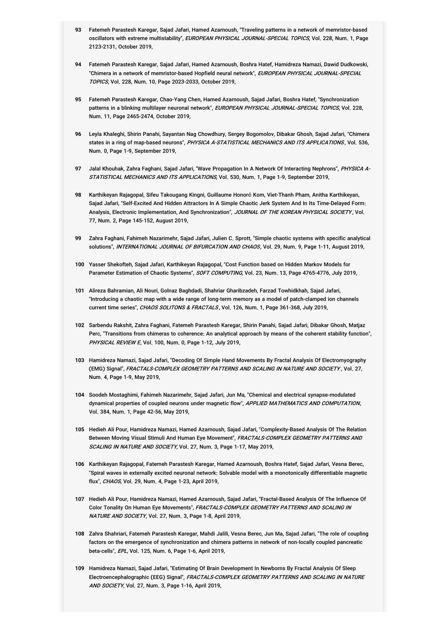- **93** Fatemeh Parastesh Karegar, Sajad Jafari, Hamed Azarnoush, "Traveling patterns in a network of memristor-based oscillators with extreme multistability", *EUROPEAN PHYSICAL JOURNAL-SPECIAL TOPICS*, Vol. 228, Num. 1, Page 2123-2131, October 2019,
- **94** Fatemeh Parastesh Karegar, Sajad Jafari, Hamed Azarnoush, Boshra Hatef, Hamidreza Namazi, Dawid Dudkowski, "Chimera in a network of memristor-based Hopfield neural network", EUROPEAN PHYSICAL JOURNAL-SPECIAL TOPICS, Vol. 228, Num. 10, Page 2023-2033, October 2019,
- **95** Fatemeh Parastesh Karegar, Chao-Yang Chen, Hamed Azarnoush, Sajad Jafari, Boshra Hatef, "Synchronization patterns in a blinking multilayer neuronal network", *EUROPEAN PHYSICAL JOURNAL-SPECIAL TOPICS*, Vol. 228, Num. 11, Page 2465-2474, October 2019,
- **96** Leyla Khaleghi, Shirin Panahi, Sayantan Nag Chowdhury, Sergey Bogomolov, Dibakar Ghosh, Sajad Jafari, "Chimera states in a ring of map-based neurons", *PHYSICA A-STATISTICAL MECHANICS AND ITS APPLICATIONS* , Vol. 536, Num. 0, Page 1-9, September 2019,
- **97** Jalal Khouhak, Zahra Faghani, Sajad Jafari, "Wave Propagation In A Network Of Interacting Nephrons", PHYSICA A-*STATISTICAL MECHANICS AND ITS APPLICATIONS*, Vol. 530, Num. 1, Page 1-9, September 2019,
- **98** Karthikeyan Rajagopal, Sifeu Takougang Kingni, Guillaume Honoré Kom, Viet-Thanh Pham, Anitha Karthikeyan, Sajad Jafari, "Self-Excited And Hidden Attractors In A Simple Chaotic Jerk System And In Its Time-Delayed Form: Analysis, Electronic Implementation, And Synchronization", *JOURNAL OF THE KOREAN PHYSICAL SOCIETY*, Vol. 77, Num. 2, Page 145-152, August 2019,
- **99** Zahra Faghani, Fahimeh Nazarimehr, Sajad Jafari, Julien C. Sprott, "Simple chaotic systems with specific analytical solutions", INTERNATIONAL JOURNAL OF BIFURCATION AND CHAOS, Vol. 29, Num. 9, Page 1-11, August 2019,
- **100** Yasser Shekofteh, Sajad Jafari, Karthikeyan Rajagopal, "Cost Function based on Hidden Markov Models for Parameter Estimation of Chaotic Systems", SOFT COMPUTING, Vol. 23, Num. 13, Page 4765-4776, July 2019,
- **101** Alireza Bahramian, Ali Nouri, Golnaz Baghdadi, Shahriar Gharibzadeh, Farzad Towhidkhah, Sajad Jafari, "Introducing a chaotic map with a wide range of long-term memory as a model of patch-clamped ion channels current time series", CHAOS SOLITONS & FRACTALS, Vol. 126, Num. 1, Page 361-368, July 2019,
- **102** Sarbendu Rakshit, Zahra Faghani, Fatemeh Parastesh Karegar, Shirin Panahi, Sajad Jafari, Dibakar Ghosh, Matjaz Perc, "Transitions from chimeras to coherence: An analytical approach by means of the coherent stability function", PHYSICAL REVIEW E, Vol. 100, Num. 0, Page 1-12, July 2019,
- **103** Hamidreza Namazi, Sajad Jafari, "Decoding Of Simple Hand Movements By Fractal Analysis Of Electromyography (EMG) Signal", *FRACTALS-COMPLEX GEOMETRY PATTERNS AND SCALING IN NATURE AND SOCIETY* , Vol. 27, Num. 4, Page 1-9, May 2019,
- **104** Soodeh Mostaghimi, Fahimeh Nazarimehr, Sajad Jafari, Jun Ma, "Chemical and electrical synapse-modulated dynamical properties of coupled neurons under magnetic flow", *APPLIED MATHEMATICS AND COMPUTATION*, Vol. 384, Num. 1, Page 42-56, May 2019,
- **105** Hedieh Ali Pour, Hamidreza Namazi, Hamed Azarnoush, Sajad Jafari, "Complexity-Based Analysis Of The Relation Between Moving Visual Stimuli And Human Eye Movement", *FRACTALS-COMPLEX GEOMETRY PATTERNS AND SCALING IN NATURE AND SOCIETY*, Vol. 27, Num. 3, Page 1-17, May 2019,
- **106** Karthikeyan Rajagopal, Fatemeh Parastesh Karegar, Hamed Azarnoush, Boshra Hatef, Sajad Jafari, Vesna Berec, "Spiral waves in externally excited neuronal network: Solvable model with a monotonically differentiable magnetic flux", CHAOS, Vol. 29, Num. 4, Page 1-23, April 2019,
- **107** Hedieh Ali Pour, Hamidreza Namazi, Hamed Azarnoush, Sajad Jafari, "Fractal-Based Analysis Of The Influence Of Color Tonality On Human Eye Movements", *FRACTALS-COMPLEX GEOMETRY PATTERNS AND SCALING IN NATURE AND SOCIETY*, Vol. 27, Num. 3, Page 1-8, April 2019,
- **108** Zahra Shahriari, Fatemeh Parastesh Karegar, Mahdi Jalili, Vesna Berec, Jun Ma, Sajad Jafari, "The role of coupling factors on the emergence of synchronization and chimera patterns in network of non-locally coupled pancreatic beta-cells", EPL, Vol. 125, Num. 6, Page 1-6, April 2019,
- **109** Hamidreza Namazi, Sajad Jafari, "Estimating Of Brain Development In Newborns By Fractal Analysis Of Sleep Electroencephalographic (EEG) Signal", *FRACTALS-COMPLEX GEOMETRY PATTERNS AND SCALING IN NATURE AND SOCIETY*, Vol. 27, Num. 3, Page 1-16, April 2019,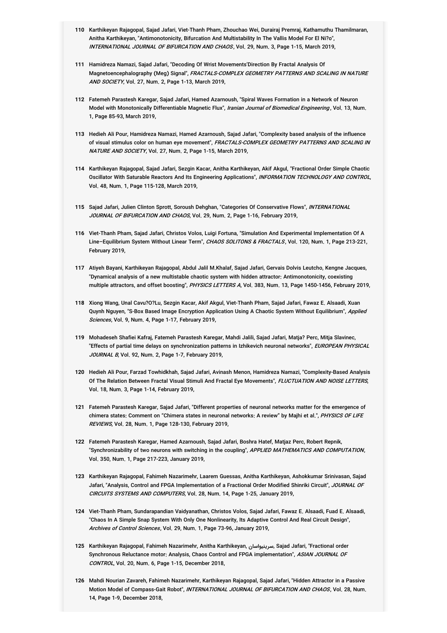- **110** Karthikeyan Rajagopal, Sajad Jafari, Viet-Thanh Pham, Zhouchao Wei, Durairaj Premraj, Kathamuthu Thamilmaran, Anitha Karthikeyan, "Antimonotonicity, Bifurcation And Multistability In The Vallis Model For El Ni?o", INTERNATIONAL JOURNAL OF BIFURCATION AND CHAOS, Vol. 29, Num. 3, Page 1-15, March 2019,
- **111** Hamidreza Namazi, Sajad Jafari, "Decoding Of Wrist Movements'Direction By Fractal Analysis Of Magnetoencephalography (Meg) Signal", *FRACTALS-COMPLEX GEOMETRY PATTERNS AND SCALING IN NATURE AND SOCIETY*, Vol. 27, Num. 2, Page 1-13, March 2019,
- **112** Fatemeh Parastesh Karegar, Sajad Jafari, Hamed Azarnoush, "Spiral Waves Formation in a Network of Neuron Model with Monotonically Differentiable Magnetic Flux", *Iranian Journal of Biomedical Engineering* , Vol. 13, Num. 1, Page 85-93, March 2019,
- **113** Hedieh Ali Pour, Hamidreza Namazi, Hamed Azarnoush, Sajad Jafari, "Complexity based analysis of the influence of visual stimulus color on human eye movement", *FRACTALS-COMPLEX GEOMETRY PATTERNS AND SCALING IN NATURE AND SOCIETY*, Vol. 27, Num. 2, Page 1-15, March 2019,
- **114** Karthikeyan Rajagopal, Sajad Jafari, Sezgin Kacar, Anitha Karthikeyan, Akif Akgul, "Fractional Order Simple Chaotic Oscillator With Saturable Reactors And Its Engineering Applications", *INFORMATION TECHNOLOGY AND CONTROL*, Vol. 48, Num. 1, Page 115-128, March 2019,
- **115** Sajad Jafari, Julien Clinton Sprott, Soroush Dehghan, "Categories Of Conservative Flows", INTERNATIONAL JOURNAL OF BIFURCATION AND CHAOS, Vol. 29, Num. 2, Page 1-16, February 2019,
- **116** Viet-Thanh Pham, Sajad Jafari, Christos Volos, Luigi Fortuna, "Simulation And Experimental Implementation Of A Line–Equilibrium System Without Linear Term", *CHAOS SOLITONS & FRACTALS*, Vol. 120, Num. 1, Page 213-221, February 2019,
- **117** Atiyeh Bayani, Karthikeyan Rajagopal, Abdul Jalil M.Khalaf, Sajad Jafari, Gervais Dolvis Leutcho, Kengne Jacques, "Dynamical analysis of a new multistable chaotic system with hidden attractor: Antimonotonicity, coexisting multiple attractors, and offset boosting", PHYSICS LETTERS A, Vol. 383, Num. 13, Page 1450-1456, February 2019,
- **118** Xiong Wang, Unal Cavu?O?Lu, Sezgin Kacar, Akif Akgul, Viet-Thanh Pham, Sajad Jafari, Fawaz E. Alsaadi, Xuan Quynh Nguyen, "S-Box Based Image Encryption Application Using A Chaotic System Without Equilibrium", *Applied Sciences*, Vol. 9, Num. 4, Page 1-17, February 2019,
- **119** Mohadeseh Shafiei Kafraj, Fatemeh Parastesh Karegar, Mahdi Jalili, Sajad Jafari, Matja? Perc, Mitja Slavinec, "Effects of partial time delays on synchronization patterns in Izhikevich neuronal networks", *EUROPEAN PHYSICAL* JOURNAL B, Vol. 92, Num. 2, Page 1-7, February 2019,
- **120** Hedieh Ali Pour, Farzad Towhidkhah, Sajad Jafari, Avinash Menon, Hamidreza Namazi, "Complexity-Based Analysis Of The Relation Between Fractal Visual Stimuli And Fractal Eye Movements", *FLUCTUATION AND NOISE LETTERS*, Vol. 18, Num. 3, Page 1-14, February 2019,
- **121** Fatemeh Parastesh Karegar, Sajad Jafari, "Different properties of neuronal networks matter for the emergence of chimera states: Comment on "Chimera states in neuronal networks: A review" by Majhi et al.", *PHYSICS OF LIFE REVIEWS*, Vol. 28, Num. 1, Page 128-130, February 2019,
- **122** Fatemeh Parastesh Karegar, Hamed Azarnoush, Sajad Jafari, Boshra Hatef, Matjaz Perc, Robert Repnik, "Synchronizability of two neurons with switching in the coupling", *APPLIED MATHEMATICS AND COMPUTATION*, Vol. 350, Num. 1, Page 217-223, January 2019,
- **123** Karthikeyan Rajagopal, Fahimeh Nazarimehr, Laarem Guessas, Anitha Karthikeyan, Ashokkumar Srinivasan, Sajad Jafari, "Analysis, Control and FPGA Implementation of a Fractional Order Modified Shinriki Circuit", *JOURNAL OF CIRCUITS SYSTEMS AND COMPUTERS*, Vol. 28, Num. 14, Page 1-25, January 2019,
- **124** Viet-Thanh Pham, Sundarapandian Vaidyanathan, Christos Volos, Sajad Jafari, Fawaz E. Alsaadi, Fuad E. Alsaadi, "Chaos In A Simple Snap System With Only One Nonlinearity, Its Adaptive Control And Real Circuit Design", Archives of Control Sciences, Vol. 29, Num. 1, Page 73-96, January 2019,
- **125** Karthikeyan Rajagopal, Fahimeh Nazarimehr, Anitha Karthikeyan, سرینیواسان, Sajad Jafari, "Fractional order Synchronous Reluctance motor: Analysis, Chaos Control and FPGA implementation", *ASIAN JOURNAL OF CONTROL*, Vol. 20, Num. 6, Page 1-15, December 2018,
- **126** Mahdi Nourian Zavareh, Fahimeh Nazarimehr, Karthikeyan Rajagopal, Sajad Jafari, "Hidden Attractor in a Passive Motion Model of Compass-Gait Robot", *INTERNATIONAL JOURNAL OF BIFURCATION AND CHAOS*, Vol. 28, Num. 14, Page 1-9, December 2018,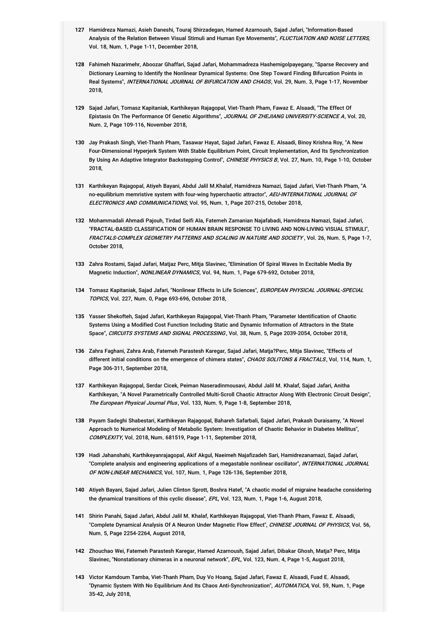- **127** Hamidreza Namazi, Asieh Daneshi, Touraj Shirzadegan, Hamed Azarnoush, Sajad Jafari, "Information-Based Analysis of the Relation Between Visual Stimuli and Human Eye Movements", *FLUCTUATION AND NOISE LETTERS*, Vol. 18, Num. 1, Page 1-11, December 2018,
- **128** Fahimeh Nazarimehr, Aboozar Ghaffari, Sajad Jafari, Mohammadreza Hashemigolpayegany, "Sparse Recovery and Dictionary Learning to Identify the Nonlinear Dynamical Systems: One Step Toward Finding Bifurcation Points in Real Systems", *INTERNATIONAL JOURNAL OF BIFURCATION AND CHAOS*, Vol. 29, Num. 3, Page 1-17, November 2018,
- **129** Sajad Jafari, Tomasz Kapitaniak, Karthikeyan Rajagopal, Viet-Thanh Pham, Fawaz E. Alsaadi, "The Effect Of Epistasis On The Performance Of Genetic Algorithms", *JOURNAL OF ZHEJIANG UNIVERSITY-SCIENCE A*, Vol. 20, Num. 2, Page 109-116, November 2018,
- **130** Jay Prakash Singh, Viet-Thanh Pham, Tasawar Hayat, Sajad Jafari, Fawaz E. Alsaadi, Binoy Krishna Roy, "A New Four-Dimensional Hyperjerk System With Stable Equilibrium Point, Circuit Implementation, And Its Synchronization By Using An Adaptive Integrator Backstepping Control", *CHINESE PHYSICS B*, Vol. 27, Num. 10, Page 1-10, October 2018,
- **131** Karthikeyan Rajagopal, Atiyeh Bayani, Abdul Jalil M.Khalaf, Hamidreza Namazi, Sajad Jafari, Viet-Thanh Pham, "A no-equilibrium memristive system with four-wing hyperchaotic attractor", *AEU-INTERNATIONAL JOURNAL OF ELECTRONICS AND COMMUNICATIONS*, Vol. 95, Num. 1, Page 207-215, October 2018,
- **132** Mohammadali Ahmadi Pajouh, Tirdad Seifi Ala, Fatemeh Zamanian Najafabadi, Hamidreza Namazi, Sajad Jafari, "FRACTAL-BASED CLASSIFICATION OF HUMAN BRAIN RESPONSE TO LIVING AND NON-LIVING VISUAL STIMULI", FRACTALS-COMPLEX GEOMETRY PATTERNS AND SCALING IN NATURE AND SOCIETY , Vol. 26, Num. 5, Page 1-7, October 2018,
- **133** Zahra Rostami, Sajad Jafari, Matjaz Perc, Mitja Slavinec, "Elimination Of Spiral Waves In Excitable Media By Magnetic Induction", NONLINEAR DYNAMICS, Vol. 94, Num. 1, Page 679-692, October 2018,
- **134** Tomasz Kapitaniak, Sajad Jafari, "Nonlinear Effects In Life Sciences", EUROPEAN PHYSICAL JOURNAL-SPECIAL TOPICS, Vol. 227, Num. 0, Page 693-696, October 2018,
- **135** Yasser Shekofteh, Sajad Jafari, Karthikeyan Rajagopal, Viet-Thanh Pham, "Parameter Identification of Chaotic Systems Using a Modified Cost Function Including Static and Dynamic Information of Attractors in the State Space", CIRCUITS SYSTEMS AND SIGNAL PROCESSING, Vol. 38, Num. 5, Page 2039-2054, October 2018,
- **136** Zahra Faghani, Zahra Arab, Fatemeh Parastesh Karegar, Sajad Jafari, Matja?Perc, Mitja Slavinec, "Effects of different initial conditions on the emergence of chimera states", *CHAOS SOLITONS & FRACTALS*, Vol. 114, Num. 1, Page 306-311, September 2018,
- **137** Karthikeyan Rajagopal, Serdar Cicek, Peiman Naseradinmousavi, Abdul Jalil M. Khalaf, Sajad Jafari, Anitha Karthikeyan, "A Novel Parametrically Controlled Multi-Scroll Chaotic Attractor Along With Electronic Circuit Design", The European Physical Journal Plus, Vol. 133, Num. 9, Page 1-8, September 2018,
- **138** Payam Sadeghi Shabestari, Karthikeyan Rajagopal, Bahareh Safarbali, Sajad Jafari, Prakash Duraisamy, "A Novel Approach to Numerical Modeling of Metabolic System: Investigation of Chaotic Behavior in Diabetes Mellitus", COMPLEXITY, Vol. 2018, Num. 681519, Page 1-11, September 2018,
- **139** Hadi Jahanshahi, Karthikeyanrajagopal, Akif Akgul, Naeimeh Najafizadeh Sari, Hamidrezanamazi, Sajad Jafari, "Complete analysis and engineering applications of a megastable nonlinear oscillator", *INTERNATIONAL JOURNAL OF NON-LINEAR MECHANICS*, Vol. 107, Num. 1, Page 126-136, September 2018,
- **140** Atiyeh Bayani, Sajad Jafari, Julien Clinton Sprott, Boshra Hatef, "A chaotic model of migraine headache considering the dynamical transitions of this cyclic disease", EPL, Vol. 123, Num. 1, Page 1-6, August 2018,
- **141** Shirin Panahi, Sajad Jafari, Abdul Jalil M. Khalaf, Karthikeyan Rajagopal, Viet-Thanh Pham, Fawaz E. Alsaadi, "Complete Dynamical Analysis Of A Neuron Under Magnetic Flow Effect", *CHINESE JOURNAL OF PHYSICS*, Vol. 56, Num. 5, Page 2254-2264, August 2018,
- **142** Zhouchao Wei, Fatemeh Parastesh Karegar, Hamed Azarnoush, Sajad Jafari, Dibakar Ghosh, Matja? Perc, Mitja Slavinec, "Nonstationary chimeras in a neuronal network", EPL, Vol. 123, Num. 4, Page 1-5, August 2018,
- **143** Victor Kamdoum Tamba, Viet-Thanh Pham, Duy Vo Hoang, Sajad Jafari, Fawaz E. Alsaadi, Fuad E. Alsaadi, "Dynamic System With No Equilibrium And Its Chaos Anti-Synchronization", *AUTOMATICA*, Vol. 59, Num. 1, Page 35-42, July 2018,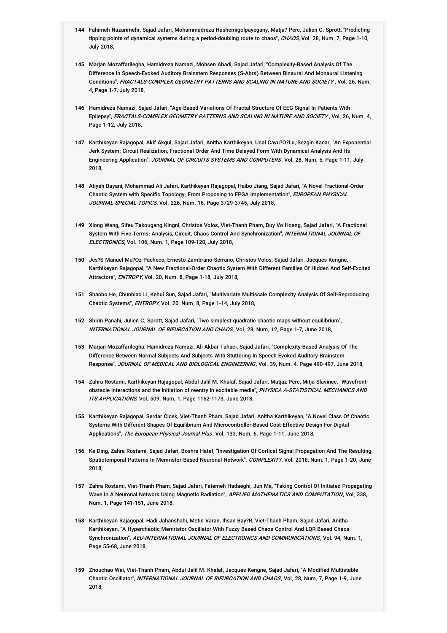- **144** Fahimeh Nazarimehr, Sajad Jafari, Mohammadreza Hashemigolpayegany, Matja? Perc, Julien C. Sprott, "Predicting tipping points of dynamical systems during a period-doubling route to chaos", *CHAOS*, Vol. 28, Num. 7, Page 1-10, July 2018,
- **145** Marjan Mozaffarilegha, Hamidreza Namazi, Mohsen Ahadi, Sajad Jafari, "Complexity-Based Analysis Of The Difference In Speech-Evoked Auditory Brainstem Responses (S-Abrs) Between Binaural And Monaural Listening Conditions", *FRACTALS-COMPLEX GEOMETRY PATTERNS AND SCALING IN NATURE AND SOCIETY* , Vol. 26, Num. 4, Page 1-7, July 2018,
- **146** Hamidreza Namazi, Sajad Jafari, "Age-Based Variations Of Fractal Structure Of EEG Signal In Patients With Epilepsy", *FRACTALS-COMPLEX GEOMETRY PATTERNS AND SCALING IN NATURE AND SOCIETY* , Vol. 26, Num. 4, Page 1-12, July 2018,
- **147** Karthikeyan Rajagopal, Akif Akgul, Sajad Jafari, Anitha Karthikeyan, Unal Cavu?O?Lu, Sezgin Kacar, "An Exponential Jerk System: Circuit Realization, Fractional Order And Time Delayed Form With Dynamical Analysis And Its Engineering Application", *JOURNAL OF CIRCUITS SYSTEMS AND COMPUTERS*, Vol. 28, Num. 5, Page 1-11, July 2018,
- **148** Atiyeh Bayani, Mohammad Ali Jafari, Karthikeyan Rajagopal, Haibo Jiang, Sajad Jafari, "A Novel Fractional-Order Chaotic System with Specific Topology: From Proposing to FPGA Implementation", *EUROPEAN PHYSICAL JOURNAL-SPECIAL TOPICS*, Vol. 226, Num. 16, Page 3729-3745, July 2018,
- **149** Xiong Wang, Sifeu Takougang Kingni, Christos Volos, Viet-Thanh Pham, Duy Vo Hoang, Sajad Jafari, "A Fractional System With Five Terms: Analysis, Circuit, Chaos Control And Synchronization", *INTERNATIONAL JOURNAL OF ELECTRONICS*, Vol. 106, Num. 1, Page 109-120, July 2018,
- **150** Jes?S Manuel Mu?Oz-Pacheco, Ernesto Zambrano-Serrano, Christos Volos, Sajad Jafari, Jacques Kengne, Karthikeyan Rajagopal, "A New Fractional-Order Chaotic System With Different Families Of Hidden And Self-Excited Attractors", ENTROPY, Vol. 20, Num. 8, Page 1-18, July 2018,
- **151** Shaobo He, Chunbiao Li, Kehui Sun, Sajad Jafari, "Multivariate Multiscale Complexity Analysis Of Self-Reproducing Chaotic Systems", ENTROPY, Vol. 20, Num. 8, Page 1-14, July 2018,
- **152** Shirin Panahi, Julien C. Sprott, Sajad Jafari, "Two simplest quadratic chaotic maps without equilibrium", INTERNATIONAL JOURNAL OF BIFURCATION AND CHAOS, Vol. 28, Num. 12, Page 1-7, June 2018,
- **153** Marjan Mozaffarilegha, Hamidreza Namazi, Ali Akbar Tahaei, Sajad Jafari, "Complexity-Based Analysis Of The Difference Between Normal Subjects And Subjects With Stuttering In Speech Evoked Auditory Brainstem Response", JOURNAL OF MEDICAL AND BIOLOGICAL ENGINEERING, Vol. 39, Num. 4, Page 490-497, June 2018,
- **154** Zahra Rostami, Karthikeyan Rajagopal, Abdul Jalil M. Khalaf, Sajad Jafari, Matjaz Perc, Mitja Slavinec, "Wavefrontobstacle interactions and the initiation of reentry in excitable media", *PHYSICA A-STATISTICAL MECHANICS AND ITS APPLICATIONS*, Vol. 509, Num. 1, Page 1162-1173, June 2018,
- **155** Karthikeyan Rajagopal, Serdar Cicek, Viet-Thanh Pham, Sajad Jafari, Anitha Karthikeyan, "A Novel Class Of Chaotic Systems With Different Shapes Of Equilibrium And Microcontroller-Based Cost-Effective Design For Digital Applications", The European Physical Journal Plus, Vol. 133, Num. 6, Page 1-11, June 2018,
- **156** Ke Ding, Zahra Rostami, Sajad Jafari, Boshra Hatef, "Investigation Of Cortical Signal Propagation And The Resulting Spatiotemporal Patterns In Memristor-Based Neuronal Network", *COMPLEXITY*, Vol. 2018, Num. 1, Page 1-20, June 2018,
- **157** Zahra Rostami, Viet-Thanh Pham, Sajad Jafari, Fatemeh Hadaeghi, Jun Ma, "Taking Control Of Initiated Propagating Wave In A Neuronal Network Using Magnetic Radiation", *APPLIED MATHEMATICS AND COMPUTATION*, Vol. 338, Num. 1, Page 141-151, June 2018,
- **158** Karthikeyan Rajagopal, Hadi Jahanshahi, Metin Varan, Ihsan Bay?R, Viet-Thanh Pham, Sajad Jafari, Anitha Karthikeyan, "A Hyperchaotic Memristor Oscillator With Fuzzy Based Chaos Control And LQR Based Chaos Synchronization", *AEU-INTERNATIONAL JOURNAL OF ELECTRONICS AND COMMUNICATIONS*, Vol. 94, Num. 1, Page 55-68, June 2018,
- **159** Zhouchao Wei, Viet-Thanh Pham, Abdul Jalil M. Khalaf, Jacques Kengne, Sajad Jafari, "A Modified Multistable Chaotic Oscillator", *INTERNATIONAL JOURNAL OF BIFURCATION AND CHAOS*, Vol. 28, Num. 7, Page 1-9, June 2018,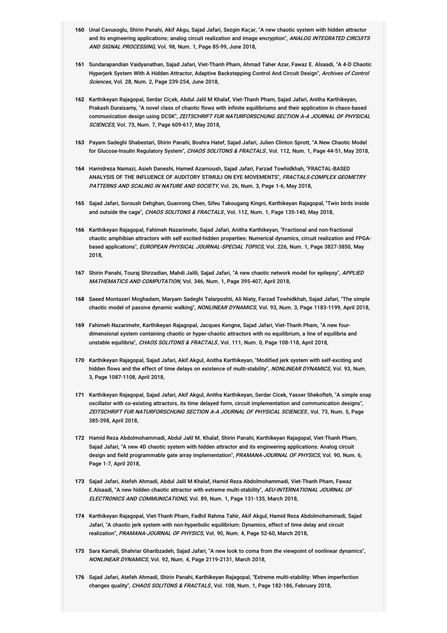- **160** Unal Cavusoglu, Shirin Panahi, Akif Akgu, Sajad Jafari, Sezgin Kaçar, "A new chaotic system with hidden attractor and its engineering applications: analog circuit realization and image encryption", *ANALOG INTEGRATED CIRCUITS AND SIGNAL PROCESSING*, Vol. 98, Num. 1, Page 85-99, June 2018,
- **161** Sundarapandian Vaidyanathan, Sajad Jafari, Viet-Thanh Pham, Ahmad Taher Azar, Fawaz E. Alsaadi, "A 4-D Chaotic Hyperjerk System With A Hidden Attractor, Adaptive Backstepping Control And Circuit Design", *Archives of Control* Sciences, Vol. 28, Num. 2, Page 239-254, June 2018,
- **162** Karthikeyan Rajagopal, Serdar Ciçek, Abdul Jalil M Khalaf, Viet-Thanh Pham, Sajad Jafari, Anitha Karthikeyan, Prakash Duraisamy, "A novel class of chaotic flows with infinite equilibriums and their application in chaos-based communication design using DCSK", *ZEITSCHRIFT FUR NATURFORSCHUNG SECTION A-A JOURNAL OF PHYSICAL* SCIENCES, Vol. 73, Num. 7, Page 609-617, May 2018,
- **163** Payam Sadeghi Shabestari, Shirin Panahi, Boshra Hatef, Sajad Jafari, Julien Clinton Sprott, "A New Chaotic Model for Glucose-Insulin Regulatory System", CHAOS SOLITONS & FRACTALS, Vol. 112, Num. 1, Page 44-51, May 2018,
- **164** Hamidreza Namazi, Asieh Daneshi, Hamed Azarnoush, Sajad Jafari, Farzad Towhidkhah, "FRACTAL-BASED ANALYSIS OF THE INFLUENCE OF AUDITORY STIMULI ON EYE MOVEMENTS", *FRACTALS-COMPLEX GEOMETRY PATTERNS AND SCALING IN NATURE AND SOCIETY*, Vol. 26, Num. 3, Page 1-6, May 2018,
- **165** Sajad Jafari, Soroush Dehghan, Guanrong Chen, Sifeu Takougang Kingni, Karthikeyan Rajagopal, "Twin birds inside and outside the cage", CHAOS SOLITONS & FRACTALS, Vol. 112, Num. 1, Page 135-140, May 2018,
- **166** Karthikeyan Rajagopal, Fahimeh Nazarimehr, Sajad Jafari, Anitha Karthikeyan, "Fractional and non-fractional chaotic amphibian attractors with self excited-hidden properties: Numerical dynamics, circuit realization and FPGAbased applications", *EUROPEAN PHYSICAL JOURNAL-SPECIAL TOPICS*, Vol. 226, Num. 1, Page 3827-3850, May 2018,
- **167** Shirin Panahi, Touraj Shirzadian, Mahdi Jalili, Sajad Jafari, "A new chaotic network model for epilepsy", APPLIED *MATHEMATICS AND COMPUTATION*, Vol. 346, Num. 1, Page 395-407, April 2018,
- **168** Saeed Montazeri Moghadam, Maryam Sadeghi Talarposhti, Ali Niaty, Farzad Towhidkhah, Sajad Jafari, "The simple chaotic model of passive dynamic walking", NONLINEAR DYNAMICS, Vol. 93, Num. 3, Page 1183-1199, April 2018,
- **169** Fahimeh Nazarimehr, Karthikeyan Rajagopal, Jacques Kengne, Sajad Jafari, Viet-Thanh Pham, "A new fourdimensional system containing chaotic or hyper-chaotic attractors with no equilibrium, a line of equilibria and unstable equilibria", CHAOS SOLITONS & FRACTALS, Vol. 111, Num. 0, Page 108-118, April 2018,
- **170** Karthikeyan Rajagopal, Sajad Jafari, Akif Akgul, Anitha Karthikeyan, "Modified jerk system with self-exciting and hidden flows and the effect of time delays on existence of multi-stability", *NONLINEAR DYNAMICS*, Vol. 93, Num. 3, Page 1087-1108, April 2018,
- **171** Karthikeyan Rajagopal, Sajad Jafari, Akif Akgul, Anitha Karthikeyan, Serdar Cicek, Yasser Shekofteh, "A simple snap oscillator with co-existing attractors, its time delayed form, circuit implementation and communication designs", ZEITSCHRIFT FUR NATURFORSCHUNG SECTION A-A JOURNAL OF PHYSICAL SCIENCES, Vol. 73, Num. 5, Page 385-398, April 2018,
- **172** Hamid Reza Abdolmohammadi, Abdul Jalil M. Khalaf, Shirin Panahi, Karthikeyan Rajagopal, Viet-Thanh Pham, Sajad Jafari, "A new 4D chaotic system with hidden attractor and its engineering applications: Analog circuit design and field programmable gate array implementation", *PRAMANA-JOURNAL OF PHYSICS*, Vol. 90, Num. 6, Page 1-7, April 2018,
- **173** Sajad Jafari, Atefeh Ahmadi, Abdul Jalil M Khalaf, Hamid Reza Abdolmohammadi, Viet-Thanh Pham, Fawaz E.Alsaadi, "A new hidden chaotic attractor with extreme multi-stability", *AEU-INTERNATIONAL JOURNAL OF ELECTRONICS AND COMMUNICATIONS*, Vol. 89, Num. 1, Page 131-135, March 2018,
- **174** Karthikeyan Rajagopal, Viet-Thanh Pham, Fadhil Rahma Tahir, Akif Akgul, Hamid Reza Abdolmohammadi, Sajad Jafari, "A chaotic jerk system with non-hyperbolic equilibrium: Dynamics, effect of time delay and circuit realization", PRAMANA-JOURNAL OF PHYSICS, Vol. 90, Num. 4, Page 52-60, March 2018,
- **175** Sara Kamali, Shahriar Gharibzadeh, Sajad Jafari, "A new look to coma from the viewpoint of nonlinear dynamics", NONLINEAR DYNAMICS, Vol. 92, Num. 4, Page 2119-2131, March 2018,
- **176** Sajad Jafari, Atefeh Ahmadi, Shirin Panahi, Karthikeyan Rajagopal, "Extreme multi-stability: When imperfection changes quality", CHAOS SOLITONS & FRACTALS, Vol. 108, Num. 1, Page 182-186, February 2018,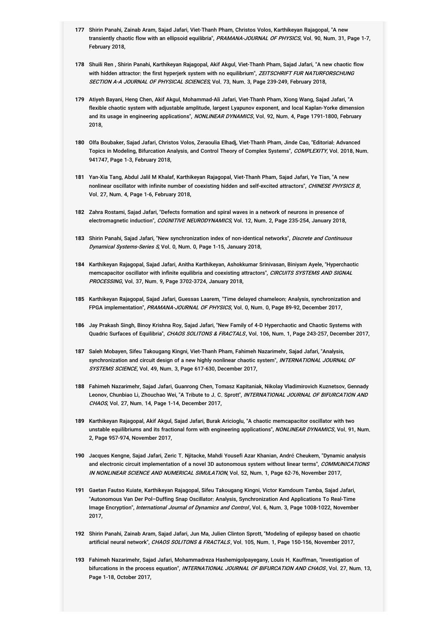- **177** Shirin Panahi, Zainab Aram, Sajad Jafari, Viet-Thanh Pham, Christos Volos, Karthikeyan Rajagopal, "A new transiently chaotic flow with an ellipsoid equilibria", *PRAMANA-JOURNAL OF PHYSICS*, Vol. 90, Num. 31, Page 1-7, February 2018,
- **178** Shuili Ren , Shirin Panahi, Karthikeyan Rajagopal, Akif Akgul, Viet-Thanh Pham, Sajad Jafari, "A new chaotic flow with hidden attractor: the first hyperjerk system with no equilibrium", *ZEITSCHRIFT FUR NATURFORSCHUNG* SECTION A-A JOURNAL OF PHYSICAL SCIENCES, Vol. 73, Num. 3, Page 239-249, February 2018,
- **179** Atiyeh Bayani, Heng Chen, Akif Akgul, Mohammad-Ali Jafari, Viet-Thanh Pham, Xiong Wang, Sajad Jafari, "A flexible chaotic system with adjustable amplitude, largest Lyapunov exponent, and local Kaplan-Yorke dimension and its usage in engineering applications", *NONLINEAR DYNAMICS*, Vol. 92, Num. 4, Page 1791-1800, February 2018,
- **180** Olfa Boubaker, Sajad Jafari, Christos Volos, Zeraoulia Elhadj, Viet-Thanh Pham, Jinde Cao, "Editorial: Advanced Topics in Modeling, Bifurcation Analysis, and Control Theory of Complex Systems", *COMPLEXITY*, Vol. 2018, Num. 941747, Page 1-3, February 2018,
- **181** Yan-Xia Tang, Abdul Jalil M Khalaf, Karthikeyan Rajagopal, Viet-Thanh Pham, Sajad Jafari, Ye Tian, "A new nonlinear oscillator with infinite number of coexisting hidden and self-excited attractors", *CHINESE PHYSICS B*, Vol. 27, Num. 4, Page 1-6, February 2018,
- **182** Zahra Rostami, Sajad Jafari, "Defects formation and spiral waves in a network of neurons in presence of electromagnetic induction", COGNITIVE NEURODYNAMICS, Vol. 12, Num. 2, Page 235-254, January 2018,
- **183** Shirin Panahi, Sajad Jafari, "New synchronization index of non-identical networks", Discrete and Continuous *Dynamical Systems-Series S*, Vol. 0, Num. 0, Page 1-15, January 2018,
- **184** Karthikeyan Rajagopal, Sajad Jafari, Anitha Karthikeyan, Ashokkumar Srinivasan, Biniyam Ayele, "Hyperchaotic memcapacitor oscillator with infinite equilibria and coexisting attractors", *CIRCUITS SYSTEMS AND SIGNAL PROCESSING*, Vol. 37, Num. 9, Page 3702-3724, January 2018,
- **185** Karthikeyan Rajagopal, Sajad Jafari, Guessas Laarem, "Time delayed chameleon: Analysis, synchronization and FPGA implementation", PRAMANA-JOURNAL OF PHYSICS, Vol. 0, Num. 0, Page 89-92, December 2017,
- **186** Jay Prakash Singh, Binoy Krishna Roy, Sajad Jafari, "New Family of 4-D Hyperchaotic and Chaotic Systems with Quadric Surfaces of Equilibria", CHAOS SOLITONS & FRACTALS, Vol. 106, Num. 1, Page 243-257, December 2017,
- **187** Saleh Mobayen, Sifeu Takougang Kingni, Viet-Thanh Pham, Fahimeh Nazarimehr, Sajad Jafari, "Analysis, synchronization and circuit design of a new highly nonlinear chaotic system", *INTERNATIONAL JOURNAL OF SYSTEMS SCIENCE*, Vol. 49, Num. 3, Page 617-630, December 2017,
- **188** Fahimeh Nazarimehr, Sajad Jafari, Guanrong Chen, Tomasz Kapitaniak, Nikolay Vladimirovich Kuznetsov, Gennady Leonov, Chunbiao Li, Zhouchao Wei, "A Tribute to J. C. Sprott", *INTERNATIONAL JOURNAL OF BIFURCATION AND CHAOS*, Vol. 27, Num. 14, Page 1-14, December 2017,
- **189** Karthikeyan Rajagopal, Akif Akgul, Sajad Jafari, Burak Aricioglu, "A chaotic memcapacitor oscillator with two unstable equilibriums and its fractional form with engineering applications", *NONLINEAR DYNAMICS*, Vol. 91, Num. 2, Page 957-974, November 2017,
- **190** Jacques Kengne, Sajad Jafari, Zeric T. Njitacke, Mahdi Yousefi Azar Khanian, André Cheukem, "Dynamic analysis and electronic circuit implementation of a novel 3D autonomous system without linear terms", *COMMUNICATIONS* IN NONLINEAR SCIENCE AND NUMERICAL SIMULATION, Vol. 52, Num. 1, Page 62-76, November 2017,
- **191** Gaetan Fautso Kuiate, Karthikeyan Rajagopal, Sifeu Takougang Kingni, Victor Kamdoum Tamba, Sajad Jafari, "Autonomous Van Der Pol–Duffing Snap Oscillator: Analysis, Synchronization And Applications To Real-Time lmage Encryption", *International Journal of Dynamics and Control* , Vol. 6, Num. 3, Page 1008-1022, November 2017,
- **192** Shirin Panahi, Zainab Aram, Sajad Jafari, Jun Ma, Julien Clinton Sprott, "Modeling of epilepsy based on chaotic artificial neural network", CHAOS SOLITONS & FRACTALS, Vol. 105, Num. 1, Page 150-156, November 2017,
- **193** Fahimeh Nazarimehr, Sajad Jafari, Mohammadreza Hashemigolpayegany, Louis H. Kauffman, "Investigation of bifurcations in the process equation", *INTERNATIONAL JOURNAL OF BIFURCATION AND CHAOS*, Vol. 27, Num. 13, Page 1-18, October 2017,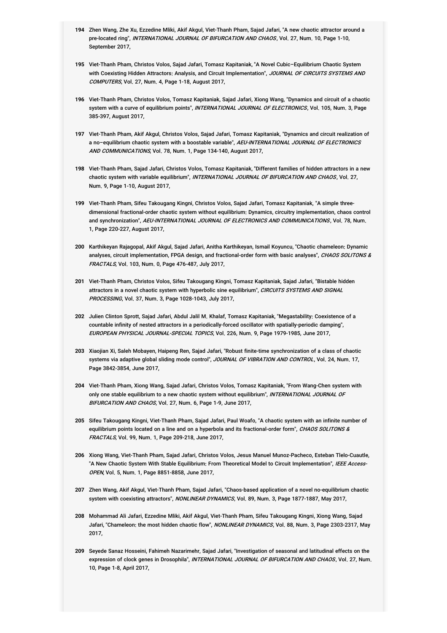- **194** Zhen Wang, Zhe Xu, Ezzedine Mliki, Akif Akgul, Viet-Thanh Pham, Sajad Jafari, "A new chaotic attractor around a pre-located ring", *INTERNATIONAL JOURNAL OF BIFURCATION AND CHAOS*, Vol. 27, Num. 10, Page 1-10, September 2017,
- **195** Viet-Thanh Pham, Christos Volos, Sajad Jafari, Tomasz Kapitaniak, "A Novel Cubic–Equilibrium Chaotic System with Coexisting Hidden Attractors: Analysis, and Circuit Implementation", *JOURNAL OF CIRCUITS SYSTEMS AND COMPUTERS*, Vol. 27, Num. 4, Page 1-18, August 2017,
- **196** Viet-Thanh Pham, Christos Volos, Tomasz Kapitaniak, Sajad Jafari, Xiong Wang, "Dynamics and circuit of a chaotic system with a curve of equilibrium points", *INTERNATIONAL JOURNAL OF ELECTRONICS*, Vol. 105, Num. 3, Page 385-397, August 2017,
- **197** Viet-Thanh Pham, Akif Akgul, Christos Volos, Sajad Jafari, Tomasz Kapitaniak, "Dynamics and circuit realization of a no–equilibrium chaotic system with a boostable variable", *AEU-INTERNATIONAL JOURNAL OF ELECTRONICS AND COMMUNICATIONS*, Vol. 78, Num. 1, Page 134-140, August 2017,
- **198** Viet-Thanh Pham, Sajad Jafari, Christos Volos, Tomasz Kapitaniak, "Different families of hidden attractors in a new chaotic system with variable equilibrium", *INTERNATIONAL JOURNAL OF BIFURCATION AND CHAOS*, Vol. 27, Num. 9, Page 1-10, August 2017,
- **199** Viet-Thanh Pham, Sifeu Takougang Kingni, Christos Volos, Sajad Jafari, Tomasz Kapitaniak, "A simple threedimensional fractional-order chaotic system without equilibrium: Dynamics, circuitry implementation, chaos control and synchronization", *AEU-INTERNATIONAL JOURNAL OF ELECTRONICS AND COMMUNICATIONS*, Vol. 78, Num. 1, Page 220-227, August 2017,
- **200** Karthikeyan Rajagopal, Akif Akgul, Sajad Jafari, Anitha Karthikeyan, Ismail Koyuncu, "Chaotic chameleon: Dynamic analyses, circuit implementation, FPGA design, and fractional-order form with basic analyses", *CHAOS SOLITONS & FRACTALS*, Vol. 103, Num. 0, Page 476-487, July 2017,
- **201** Viet-Thanh Pham, Christos Volos, Sifeu Takougang Kingni, Tomasz Kapitaniak, Sajad Jafari, "Bistable hidden attractors in a novel chaotic system with hyperbolic sine equilibrium", *CIRCUITS SYSTEMS AND SIGNAL PROCESSING*, Vol. 37, Num. 3, Page 1028-1043, July 2017,
- **202** Julien Clinton Sprott, Sajad Jafari, Abdul Jalil M. Khalaf, Tomasz Kapitaniak, "Megastability: Coexistence of a countable infinity of nested attractors in a periodically-forced oscillator with spatially-periodic damping", EUROPEAN PHYSICAL JOURNAL-SPECIAL TOPICS, Vol. 226, Num. 9, Page 1979-1985, June 2017,
- **203** Xiaojian Xi, Saleh Mobayen, Haipeng Ren, Sajad Jafari, "Robust finite-time synchronization of a class of chaotic systems via adaptive global sliding mode control", *JOURNAL OF VIBRATION AND CONTROL*, Vol. 24, Num. 17, Page 3842-3854, June 2017,
- **204** Viet-Thanh Pham, Xiong Wang, Sajad Jafari, Christos Volos, Tomasz Kapitaniak, "From Wang-Chen system with only one stable equilibrium to a new chaotic system without equilibrium", *INTERNATIONAL JOURNAL OF BIFURCATION AND CHAOS*, Vol. 27, Num. 6, Page 1-9, June 2017,
- **205** Sifeu Takougang Kingni, Viet-Thanh Pham, Sajad Jafari, Paul Woafo, "A chaotic system with an infinite number of equilibrium points located on a line and on a hyperbola and its fractional-order form", *CHAOS SOLITONS & FRACTALS*, Vol. 99, Num. 1, Page 209-218, June 2017,
- **206** Xiong Wang, Viet-Thanh Pham, Sajad Jafari, Christos Volos, Jesus Manuel Munoz-Pacheco, Esteban Tlelo-Cuautle, "A New Chaotic System With Stable Equilibrium: From Theoretical Model to Circuit Implementation", *IEEE Access-OPEN*, Vol. 5, Num. 1, Page 8851-8858, June 2017,
- **207** Zhen Wang, Akif Akgul, Viet-Thanh Pham, Sajad Jafari, "Chaos-based application of a novel no-equilibrium chaotic system with coexisting attractors", NONLINEAR DYNAMICS, Vol. 89, Num. 3, Page 1877-1887, May 2017,
- **208** Mohammad Ali Jafari, Ezzedine Mliki, Akif Akgul, Viet-Thanh Pham, Sifeu Takougang Kingni, Xiong Wang, Sajad Jafari, "Chameleon: the most hidden chaotic flow", *NONLINEAR DYNAMICS*, Vol. 88, Num. 3, Page 2303-2317, May 2017,
- **209** Seyede Sanaz Hosseini, Fahimeh Nazarimehr, Sajad Jafari, "Investigation of seasonal and latitudinal effects on the expression of clock genes in Drosophila", *INTERNATIONAL JOURNAL OF BIFURCATION AND CHAOS*, Vol. 27, Num. 10, Page 1-8, April 2017,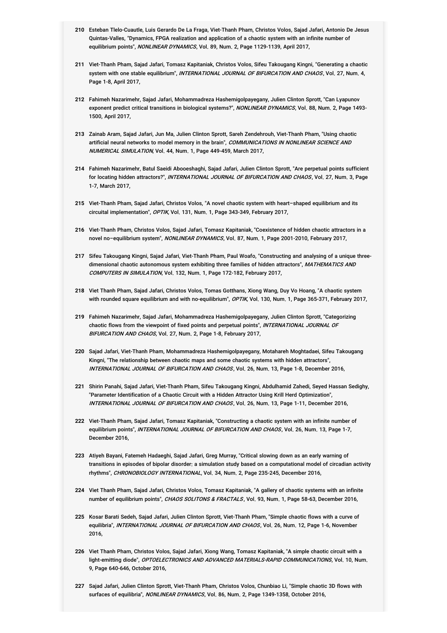- **210** Esteban Tlelo-Cuautle, Luis Gerardo De La Fraga, Viet-Thanh Pham, Christos Volos, Sajad Jafari, Antonio De Jesus Quintas-Valles, "Dynamics, FPGA realization and application of a chaotic system with an infinite number of equilibrium points", NONLINEAR DYNAMICS, Vol. 89, Num. 2, Page 1129-1139, April 2017,
- **211** Viet-Thanh Pham, Sajad Jafari, Tomasz Kapitaniak, Christos Volos, Sifeu Takougang Kingni, "Generating a chaotic system with one stable equilibrium", *INTERNATIONAL JOURNAL OF BIFURCATION AND CHAOS*, Vol. 27, Num. 4, Page 1-8, April 2017,
- **212** Fahimeh Nazarimehr, Sajad Jafari, Mohammadreza Hashemigolpayegany, Julien Clinton Sprott, "Can Lyapunov exponent predict critical transitions in biological systems?", *NONLINEAR DYNAMICS*, Vol. 88, Num. 2, Page 1493-1500, April 2017,
- **213** Zainab Aram, Sajad Jafari, Jun Ma, Julien Clinton Sprott, Sareh Zendehrouh, Viet-Thanh Pham, "Using chaotic artificial neural networks to model memory in the brain", *COMMUNICATIONS IN NONLINEAR SCIENCE AND NUMERICAL SIMULATION*, Vol. 44, Num. 1, Page 449-459, March 2017,
- **214** Fahimeh Nazarimehr, Batul Saeidi Abooeshaghi, Sajad Jafari, Julien Clinton Sprott, "Are perpetual points sufficient for locating hidden attractors?", *INTERNATIONAL JOURNAL OF BIFURCATION AND CHAOS*, Vol. 27, Num. 3, Page 1-7, March 2017,
- **215** Viet-Thanh Pham, Sajad Jafari, Christos Volos, "A novel chaotic system with heart–shaped equilibrium and its circuital implementation", OPTIK, Vol. 131, Num. 1, Page 343-349, February 2017,
- **216** Viet-Thanh Pham, Christos Volos, Sajad Jafari, Tomasz Kapitaniak, "Coexistence of hidden chaotic attractors in a novel no–equilibrium system", NONLINEAR DYNAMICS, Vol. 87, Num. 1, Page 2001-2010, February 2017,
- **217** Sifeu Takougang Kingni, Sajad Jafari, Viet-Thanh Pham, Paul Woafo, "Constructing and analysing of a unique threedimensional chaotic autonomous system exhibiting three families of hidden attractors", *MATHEMATICS AND* COMPUTERS IN SIMULATION, Vol. 132, Num. 1, Page 172-182, February 2017,
- **218** Viet Thanh Pham, Sajad Jafari, Christos Volos, Tomas Gotthans, Xiong Wang, Duy Vo Hoang, "A chaotic system with rounded square equilibrium and with no-equilibrium", OPTIK, Vol. 130, Num. 1, Page 365-371, February 2017,
- **219** Fahimeh Nazarimehr, Sajad Jafari, Mohammadreza Hashemigolpayegany, Julien Clinton Sprott, "Categorizing chaotic flows from the viewpoint of fixed points and perpetual points", *INTERNATIONAL JOURNAL OF BIFURCATION AND CHAOS*, Vol. 27, Num. 2, Page 1-8, February 2017,
- **220** Sajad Jafari, Viet-Thanh Pham, Mohammadreza Hashemigolpayegany, Motahareh Moghtadaei, Sifeu Takougang Kingni, "The relationship between chaotic maps and some chaotic systems with hidden attractors", INTERNATIONAL JOURNAL OF BIFURCATION AND CHAOS, Vol. 26, Num. 13, Page 1-8, December 2016,
- **221** Shirin Panahi, Sajad Jafari, Viet-Thanh Pham, Sifeu Takougang Kingni, Abdulhamid Zahedi, Seyed Hassan Sedighy, "Parameter Identification of a Chaotic Circuit with a Hidden Attractor Using Krill Herd Optimization", INTERNATIONAL JOURNAL OF BIFURCATION AND CHAOS, Vol. 26, Num. 13, Page 1-11, December 2016,
- **222** Viet-Thanh Pham, Sajad Jafari, Tomasz Kapitaniak, "Constructing a chaotic system with an infinite number of equilibrium points", *INTERNATIONAL JOURNAL OF BIFURCATION AND CHAOS*, Vol. 26, Num. 13, Page 1-7, December 2016,
- **223** Atiyeh Bayani, Fatemeh Hadaeghi, Sajad Jafari, Greg Murray, "Critical slowing down as an early warning of transitions in episodes of bipolar disorder: a simulation study based on a computational model of circadian activity rhythms", CHRONOBIOLOGY INTERNATIONAL, Vol. 34, Num. 2, Page 235-245, December 2016,
- **224** Viet Thanh Pham, Sajad Jafari, Christos Volos, Tomasz Kapitaniak, "A gallery of chaotic systems with an infinite number of equilibrium points", CHAOS SOLITONS & FRACTALS, Vol. 93, Num. 1, Page 58-63, December 2016,
- **225** Kosar Barati Sedeh, Sajad Jafari, Julien Clinton Sprott, Viet-Thanh Pham, "Simple chaotic flows with a curve of equilibria", *INTERNATIONAL JOURNAL OF BIFURCATION AND CHAOS*, Vol. 26, Num. 12, Page 1-6, November 2016,
- **226** Viet Thanh Pham, Christos Volos, Sajad Jafari, Xiong Wang, Tomasz Kapitaniak, "A simple chaotic circuit with a light-emitting diode", *OPTOELECTRONICS AND ADVANCED MATERIALS-RAPID COMMUNICATIONS*, Vol. 10, Num. 9, Page 640-646, October 2016,
- **227** Sajad Jafari, Julien Clinton Sprott, Viet-Thanh Pham, Christos Volos, Chunbiao Li, "Simple chaotic 3D flows with surfaces of equilibria", NONLINEAR DYNAMICS, Vol. 86, Num. 2, Page 1349-1358, October 2016,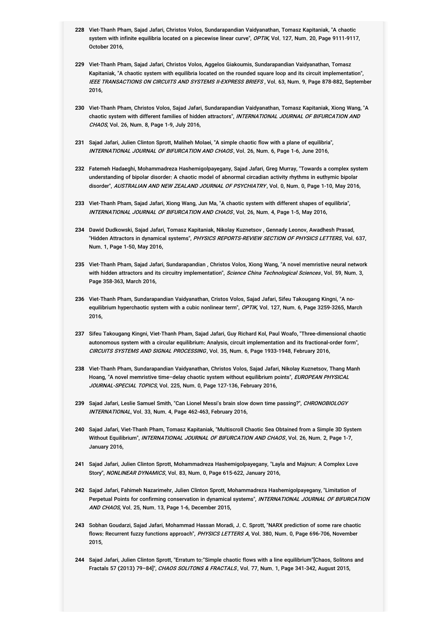- **228** Viet-Thanh Pham, Sajad Jafari, Christos Volos, Sundarapandian Vaidyanathan, Tomasz Kapitaniak, "A chaotic system with infinite equilibria located on a piecewise linear curve", *OPTIK*, Vol. 127, Num. 20, Page 9111-9117, October 2016,
- **229** Viet-Thanh Pham, Sajad Jafari, Christos Volos, Aggelos Giakoumis, Sundarapandian Vaidyanathan, Tomasz Kapitaniak, "A chaotic system with equilibria located on the rounded square loop and its circuit implementation", IEEE TRANSACTIONS ON CIRCUITS AND SYSTEMS II-EXPRESS BRIEFS , Vol. 63, Num. 9, Page 878-882, September 2016,
- **230** Viet-Thanh Pham, Christos Volos, Sajad Jafari, Sundarapandian Vaidyanathan, Tomasz Kapitaniak, Xiong Wang, "A chaotic system with different families of hidden attractors", *INTERNATIONAL JOURNAL OF BIFURCATION AND CHAOS*, Vol. 26, Num. 8, Page 1-9, July 2016,
- **231** Sajad Jafari, Julien Clinton Sprott, Maliheh Molaei, "A simple chaotic flow with a plane of equilibria", INTERNATIONAL JOURNAL OF BIFURCATION AND CHAOS, Vol. 26, Num. 6, Page 1-6, June 2016,
- **232** Fatemeh Hadaeghi, Mohammadreza Hashemigolpayegany, Sajad Jafari, Greg Murray, "Towards a complex system understanding of bipolar disorder: A chaotic model of abnormal circadian activity rhythms in euthymic bipolar disorder", AUSTRALIAN AND NEW ZEALAND JOURNAL OF PSYCHIATRY, Vol. 0, Num. 0, Page 1-10, May 2016,
- **233** Viet-Thanh Pham, Sajad Jafari, Xiong Wang, Jun Ma, "A chaotic system with different shapes of equilibria", INTERNATIONAL JOURNAL OF BIFURCATION AND CHAOS, Vol. 26, Num. 4, Page 1-5, May 2016,
- **234** Dawid Dudkowski, Sajad Jafari, Tomasz Kapitaniak, Nikolay Kuznetsov , Gennady Leonov, Awadhesh Prasad, "Hidden Attractors in dynamical systems", *PHYSICS REPORTS-REVIEW SECTION OF PHYSICS LETTERS*, Vol. 637, Num. 1, Page 1-50, May 2016,
- **235** Viet-Thanh Pham, Sajad Jafari, Sundarapandian , Christos Volos, Xiong Wang, "A novel memristive neural network with hidden attractors and its circuitry implementation", *Science China Technological Sciences*, Vol. 59, Num. 3, Page 358-363, March 2016,
- **236** Viet-Thanh Pham, Sundarapandian Vaidyanathan, Cristos Volos, Sajad Jafari, Sifeu Takougang Kingni, "A noequilibrium hyperchaotic system with a cubic nonlinear term", *OPTIK*, Vol. 127, Num. 6, Page 3259-3265, March 2016,
- **237** Sifeu Takougang Kingni, Viet-Thanh Pham, Sajad Jafari, Guy Richard Kol, Paul Woafo, "Three-dimensional chaotic autonomous system with a circular equilibrium: Analysis, circuit implementation and its fractional-order form", CIRCUITS SYSTEMS AND SIGNAL PROCESSING , Vol. 35, Num. 6, Page 1933-1948, February 2016,
- **238** Viet-Thanh Pham, Sundarapandian Vaidyanathan, Christos Volos, Sajad Jafari, Nikolay Kuznetsov, Thang Manh Hoang, "A novel memristive time–delay chaotic system without equilibrium points", *EUROPEAN PHYSICAL JOURNAL-SPECIAL TOPICS*, Vol. 225, Num. 0, Page 127-136, February 2016,
- **239** Sajad Jafari, Leslie Samuel Smith, "Can Lionel Messi's brain slow down time passing?", CHRONOBIOLOGY *INTERNATIONAL*, Vol. 33, Num. 4, Page 462-463, February 2016,
- **240** Sajad Jafari, Viet-Thanh Pham, Tomasz Kapitaniak, "Multiscroll Chaotic Sea Obtained from a Simple 3D System Without Equilibrium", *INTERNATIONAL JOURNAL OF BIFURCATION AND CHAOS*, Vol. 26, Num. 2, Page 1-7, January 2016,
- **241** Sajad Jafari, Julien Clinton Sprott, Mohammadreza Hashemigolpayegany, "Layla and Majnun: A Complex Love Story", NONLINEAR DYNAMICS, Vol. 83, Num. 0, Page 615-622, January 2016,
- **242** Sajad Jafari, Fahimeh Nazarimehr, Julien Clinton Sprott, Mohammadreza Hashemigolpayegany, "Limitation of Perpetual Points for confirming conservation in dynamical systems", *INTERNATIONAL JOURNAL OF BIFURCATION AND CHAOS*, Vol. 25, Num. 13, Page 1-6, December 2015,
- **243** Sobhan Goudarzi, Sajad Jafari, Mohammad Hassan Moradi, J. C. Sprott, "NARX prediction of some rare chaotic flows: Recurrent fuzzy functions approach", *PHYSICS LETTERS A*, Vol. 380, Num. 0, Page 696-706, November 2015,
- **244** Sajad Jafari, Julien Clinton Sprott, "Erratum to:"Simple chaotic flows with a line equilibrium"[Chaos, Solitons and Fractals 57 (2013) 79-84]", CHAOS SOLITONS & FRACTALS, Vol. 77, Num. 1, Page 341-342, August 2015,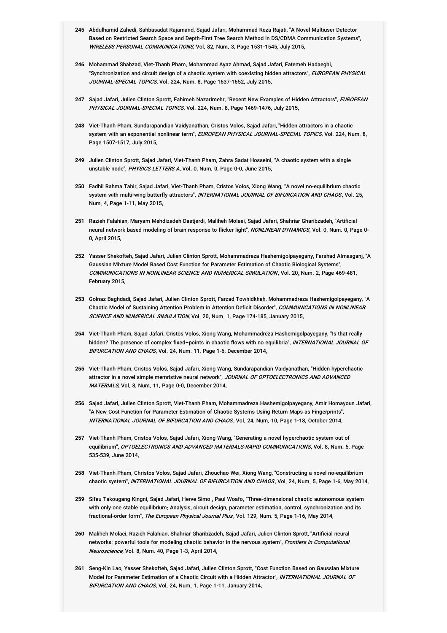- **245** Abdulhamid Zahedi, Sahbasadat Rajamand, Sajad Jafari, Mohammad Reza Rajati, "A Novel Multiuser Detector Based on Restricted Search Space and Depth-First Tree Search Method in DS/CDMA Communication Systems", WIRELESS PERSONAL COMMUNICATIONS, Vol. 82, Num. 3, Page 1531-1545, July 2015,
- **246** Mohammad Shahzad, Viet-Thanh Pham, Mohammad Ayaz Ahmad, Sajad Jafari, Fatemeh Hadaeghi, "Synchronization and circuit design of a chaotic system with coexisting hidden attractors", *EUROPEAN PHYSICAL* JOURNAL-SPECIAL TOPICS, Vol. 224, Num. 8, Page 1637-1652, July 2015,
- **247** Sajad Jafari, Julien Clinton Sprott, Fahimeh Nazarimehr, "Recent New Examples of Hidden Attractors", EUROPEAN *PHYSICAL JOURNAL-SPECIAL TOPICS*, Vol. 224, Num. 8, Page 1469-1476, July 2015,
- **248** Viet-Thanh Pham, Sundarapandian Vaidyanathan, Cristos Volos, Sajad Jafari, "Hidden attractors in a chaotic system with an exponential nonlinear term", *EUROPEAN PHYSICAL JOURNAL-SPECIAL TOPICS*, Vol. 224, Num. 8, Page 1507-1517, July 2015,
- **249** Julien Clinton Sprott, Sajad Jafari, Viet-Thanh Pham, Zahra Sadat Hosseini, "A chaotic system with a single unstable node", PHYSICS LETTERS A, Vol. 0, Num. 0, Page 0-0, June 2015,
- **250** Fadhil Rahma Tahir, Sajad Jafari, Viet-Thanh Pham, Cristos Volos, Xiong Wang, "A novel no-equilibrium chaotic system with multi-wing butterfly attractors", *INTERNATIONAL JOURNAL OF BIFURCATION AND CHAOS*, Vol. 25, Num. 4, Page 1-11, May 2015,
- **251** Razieh Falahian, Maryam Mehdizadeh Dastjerdi, Maliheh Molaei, Sajad Jafari, Shahriar Gharibzadeh, "Artificial neural network based modeling of brain response to flicker light", *NONLINEAR DYNAMICS*, Vol. 0, Num. 0, Page 0-0, April 2015,
- **252** Yasser Shekofteh, Sajad Jafari, Julien Clinton Sprott, Mohammadreza Hashemigolpayegany, Farshad Almasganj, "A Gaussian Mixture Model Based Cost Function for Parameter Estimation of Chaotic Biological Systems", COMMUNICATIONS IN NONLINEAR SCIENCE AND NUMERICAL SIMULATION, Vol. 20, Num. 2, Page 469-481, February 2015,
- **253** Golnaz Baghdadi, Sajad Jafari, Julien Clinton Sprott, Farzad Towhidkhah, Mohammadreza Hashemigolpayegany, "A Chaotic Model of Sustaining Attention Problem in Attention Deficit Disorder", *COMMUNICATIONS IN NONLINEAR* SCIENCE AND NUMERICAL SIMULATION, Vol. 20, Num. 1, Page 174-185, January 2015,
- **254** Viet-Thanh Pham, Sajad Jafari, Cristos Volos, Xiong Wang, Mohammadreza Hashemigolpayegany, "Is that really hidden? The presence of complex fixed–points in chaotic flows with no equilibria", *INTERNATIONAL JOURNAL OF BIFURCATION AND CHAOS*, Vol. 24, Num. 11, Page 1-6, December 2014,
- **255** Viet-Thanh Pham, Cristos Volos, Sajad Jafari, Xiong Wang, Sundarapandian Vaidyanathan, "Hidden hyperchaotic attractor in a novel simple memristive neural network", *JOURNAL OF OPTOELECTRONICS AND ADVANCED MATERIALS*, Vol. 8, Num. 11, Page 0-0, December 2014,
- **256** Sajad Jafari, Julien Clinton Sprott, Viet-Thanh Pham, Mohammadreza Hashemigolpayegany, Amir Homayoun Jafari, "A New Cost Function for Parameter Estimation of Chaotic Systems Using Return Maps as Fingerprints", INTERNATIONAL JOURNAL OF BIFURCATION AND CHAOS, Vol. 24, Num. 10, Page 1-18, October 2014,
- **257** Viet-Thanh Pham, Cristos Volos, Sajad Jafari, Xiong Wang, "Generating a novel hyperchaotic system out of equilibrium", *OPTOELECTRONICS AND ADVANCED MATERIALS-RAPID COMMUNICATIONS*, Vol. 8, Num. 5, Page 535-539, June 2014,
- **258** Viet-Thanh Pham, Christos Volos, Sajad Jafari, Zhouchao Wei, Xiong Wang, "Constructing a novel no-equilibrium chaotic system", INTERNATIONAL JOURNAL OF BIFURCATION AND CHAOS, Vol. 24, Num. 5, Page 1-6, May 2014,
- **259** Sifeu Takougang Kingni, Sajad Jafari, Herve Simo , Paul Woafo, "Three-dimensional chaotic autonomous system with only one stable equilibrium: Analysis, circuit design, parameter estimation, control, synchronization and its fractional-order form", The European Physical Journal Plus, Vol. 129, Num. 5, Page 1-16, May 2014,
- **260** Maliheh Molaei, Razieh Falahian, Shahriar Gharibzadeh, Sajad Jafari, Julien Clinton Sprott, "Artificial neural networks: powerful tools for modeling chaotic behavior in the nervous system", *Frontiers in Computational Neuroscience*, Vol. 8, Num. 40, Page 1-3, April 2014,
- **261** Seng-Kin Lao, Yasser Shekofteh, Sajad Jafari, Julien Clinton Sprott, "Cost Function Based on Gaussian Mixture Model for Parameter Estimation of a Chaotic Circuit with a Hidden Attractor", *INTERNATIONAL JOURNAL OF BIFURCATION AND CHAOS*, Vol. 24, Num. 1, Page 1-11, January 2014,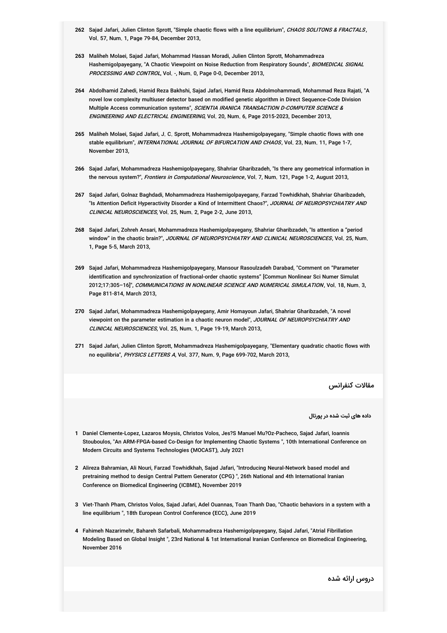- 262 Sajad Jafari, Julien Clinton Sprott, "Simple chaotic flows with a line equilibrium", *CHAOS SOLITONS & FRACTALS*, Vol. 57, Num. 1, Page 79-84, December 2013,
- **263** Maliheh Molaei, Sajad Jafari, Mohammad Hassan Moradi, Julien Clinton Sprott, Mohammadreza Hashemigolpayegany, "A Chaotic Viewpoint on Noise Reduction from Respiratory Sounds", *BIOMEDICAL SIGNAL PROCESSING AND CONTROL*, Vol. -, Num. 0, Page 0-0, December 2013,
- **264** Abdolhamid Zahedi, Hamid Reza Bakhshi, Sajad Jafari, Hamid Reza Abdolmohammadi, Mohammad Reza Rajati, "A novel low complexity multiuser detector based on modified genetic algorithm in Direct Sequence-Code Division Multiple Access communication systems", *SCIENTIA IRANICA TRANSACTION D-COMPUTER SCIENCE & ENGINEERING AND ELECTRICAL ENGINEERING*, Vol. 20, Num. 6, Page 2015-2023, December 2013,
- **265** Maliheh Molaei, Sajad Jafari, J. C. Sprott, Mohammadreza Hashemigolpayegany, "Simple chaotic flows with one stable equilibrium", *INTERNATIONAL JOURNAL OF BIFURCATION AND CHAOS*, Vol. 23, Num. 11, Page 1-7, November 2013,
- **266** Sajad Jafari, Mohammadreza Hashemigolpayegany, Shahriar Gharibzadeh, "Is there any geometrical information in the nervous system?", Frontiers in Computational Neuroscience, Vol. 7, Num. 121, Page 1-2, August 2013,
- **267** Sajad Jafari, Golnaz Baghdadi, Mohammadreza Hashemigolpayegany, Farzad Towhidkhah, Shahriar Gharibzadeh, "Is Attention Deficit Hyperactivity Disorder a Kind of Intermittent Chaos?", *JOURNAL OF NEUROPSYCHIATRY AND CLINICAL NEUROSCIENCES*, Vol. 25, Num. 2, Page 2-2, June 2013,
- **268** Sajad Jafari, Zohreh Ansari, Mohammadreza Hashemigolpayegany, Shahriar Gharibzadeh, "Is attention a "period window" in the chaotic brain?", *JOURNAL OF NEUROPSYCHIATRY AND CLINICAL NEUROSCIENCES*, Vol. 25, Num. 1, Page 5-5, March 2013,
- **269** Sajad Jafari, Mohammadreza Hashemigolpayegany, Mansour Rasoulzadeh Darabad, "Comment on "Parameter identification and synchronization of fractional-order chaotic systems" [Commun Nonlinear Sci Numer Simulat 2012;17:305-16]", *COMMUNICATIONS IN NONLINEAR SCIENCE AND NUMERICAL SIMULATION*, Vol. 18, Num. 3, Page 811-814, March 2013,
- **270** Sajad Jafari, Mohammadreza Hashemigolpayegany, Amir Homayoun Jafari, Shahriar Gharibzadeh, "A novel viewpoint on the parameter estimation in a chaotic neuron model", *JOURNAL OF NEUROPSYCHIATRY AND CLINICAL NEUROSCIENCES*, Vol. 25, Num. 1, Page 19-19, March 2013,
- **271** Sajad Jafari, Julien Clinton Sprott, Mohammadreza Hashemigolpayegany, "Elementary quadratic chaotic flows with no equilibria", PHYSICS LETTERS <sup>A</sup>, Vol. 377, Num. 9, Page 699-702, March 2013,

مقالات کنفرانس

**داده های ثبت شده در پورتال**

- **1** Daniel Clemente-Lopez, Lazaros Moysis, Christos Volos, Jes?S Manuel Mu?Oz-Pacheco, Sajad Jafari, Ioannis Stouboulos, "An ARM-FPGA-based Co-Design for Implementing Chaotic Systems ", 10th International Conference on Modern Circuits and Systems Technologies (MOCAST), July 2021
- **2** Alireza Bahramian, Ali Nouri, Farzad Towhidkhah, Sajad Jafari, "Introducing Neural-Network based model and pretraining method to design Central Pattem Generator (CPG) ", 26th National and 4th International Iranian Conference on Biomedical Engineering (ICBME), November 2019
- **3** Viet-Thanh Pham, Christos Volos, Sajad Jafari, Adel Ouannas, Toan Thanh Dao, "Chaotic behaviors in a system with a line equilibrium ", 18th European Control Conference (ECC), June 2019
- **4** Fahimeh Nazarimehr, Bahareh Safarbali, Mohammadreza Hashemigolpayegany, Sajad Jafari, "Atrial Fibrillation Modeling Based on Global Insight ", 23rd National & 1st International Iranian Conference on Biomedical Engineering, November 2016

دروس ارائه شده